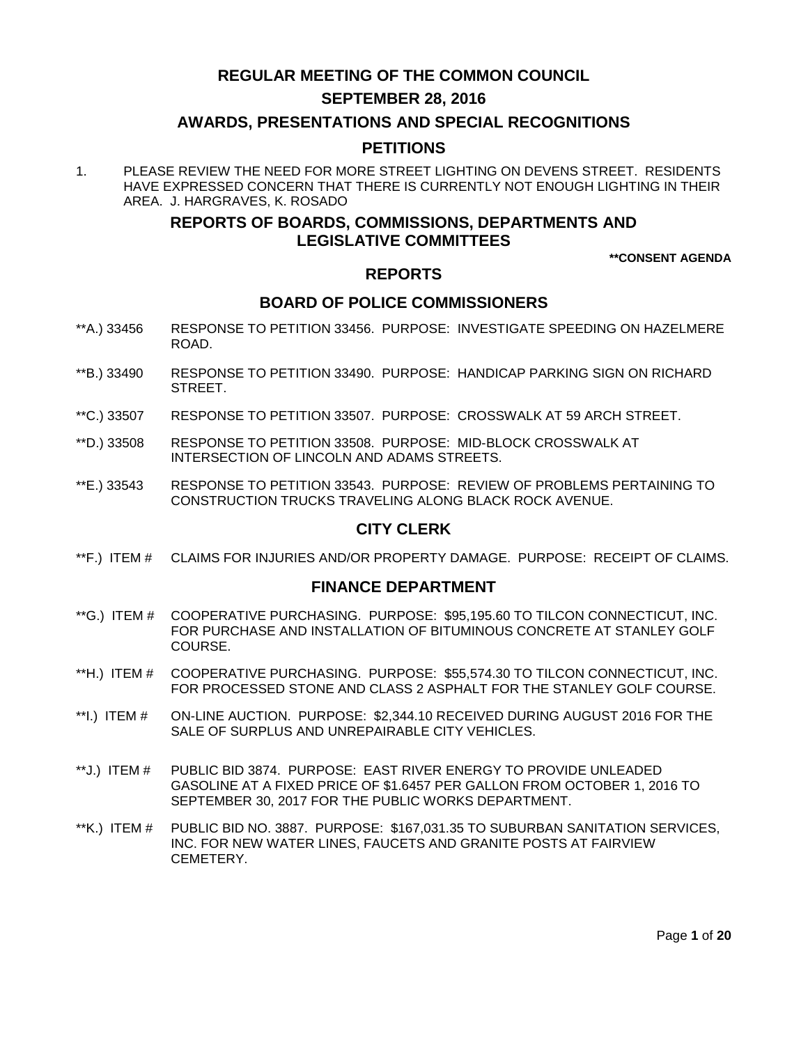# **REGULAR MEETING OF THE COMMON COUNCIL**

## **SEPTEMBER 28, 2016**

## **AWARDS, PRESENTATIONS AND SPECIAL RECOGNITIONS**

# **PETITIONS**

1. PLEASE REVIEW THE NEED FOR MORE STREET LIGHTING ON DEVENS STREET. RESIDENTS HAVE EXPRESSED CONCERN THAT THERE IS CURRENTLY NOT ENOUGH LIGHTING IN THEIR AREA. J. HARGRAVES, K. ROSADO

# **REPORTS OF BOARDS, COMMISSIONS, DEPARTMENTS AND LEGISLATIVE COMMITTEES**

**\*\*CONSENT AGENDA**

## **REPORTS**

# **BOARD OF POLICE COMMISSIONERS**

- \*\*A.) 33456 [RESPONSE TO PETITION 33456. PURPOSE: INVESTIGATE SPEEDING ON HAZELMERE](#page-2-0)  [ROAD.](#page-2-0)
- \*\*B.) 33490 [RESPONSE TO PETITION 33490. PURPOSE: HANDICAP PARKING SIGN ON RICHARD](#page-2-1)  [STREET.](#page-2-1)
- \*\*C.) 33507 [RESPONSE TO PETITION 33507. PURPOSE: CROSSWALK AT 59 ARCH STREET.](#page-3-0)
- \*\*D.) 33508 [RESPONSE TO PETITION 33508. PURPOSE: MID-BLOCK CROSSWALK AT](#page-3-1)  [INTERSECTION OF LINCOLN AND ADAMS STREETS.](#page-3-1)
- \*\*E.) 33543 [RESPONSE TO PETITION 33543. PURPOSE: REVIEW OF PROBLEMS PERTAINING TO](#page-4-0)  [CONSTRUCTION TRUCKS TRAVELING ALONG BLACK ROCK AVENUE.](#page-4-0)

# **CITY CLERK**

\*\*F.) ITEM # [CLAIMS FOR INJURIES AND/OR PROPERTY DAMAGE. PURPOSE: RECEIPT OF CLAIMS.](#page-4-1)

## **FINANCE DEPARTMENT**

- \*\*G.) ITEM # [COOPERATIVE PURCHASING. PURPOSE: \\$95,195.60 TO TILCON CONNECTICUT, INC.](#page-5-0)  [FOR PURCHASE AND INSTALLATION OF BITUMINOUS CONCRETE](#page-5-0) AT STANLEY GOLF [COURSE.](#page-5-0)
- \*\*H.) ITEM # [COOPERATIVE PURCHASING. PURPOSE: \\$55,574.30 TO TILCON CONNECTICUT, INC.](#page-5-1)  [FOR PROCESSED STONE AND CLASS 2 ASPHALT FOR THE STANLEY GOLF COURSE.](#page-5-1)
- \*\*I.) ITEM # ON-LINE AUCTION. PURPOSE: \$2,344.10 [RECEIVED DURING AUGUST 2016 FOR THE](#page-6-0)  [SALE OF SURPLUS AND UNREPAIRABLE CITY VEHICLES.](#page-6-0)
- \*\*J.) ITEM # [PUBLIC BID 3874. PURPOSE: EAST RIVER ENERGY TO PROVIDE UNLEADED](#page-6-1)  [GASOLINE AT A FIXED PRICE OF \\$1.6457 PER GALLON FROM OCTOBER 1, 2016 TO](#page-6-1)  [SEPTEMBER 30, 2017 FOR THE PUBLIC WORKS DEPARTMENT.](#page-6-1)
- \*\*K.) ITEM # [PUBLIC BID NO. 3887. PURPOSE: \\$167,031.35 TO SUBURBAN SANITATION SERVICES,](#page-7-0)  [INC. FOR NEW WATER LINES, FAUCETS AND GRANITE POSTS AT FAIRVIEW](#page-7-0) **CEMETERY**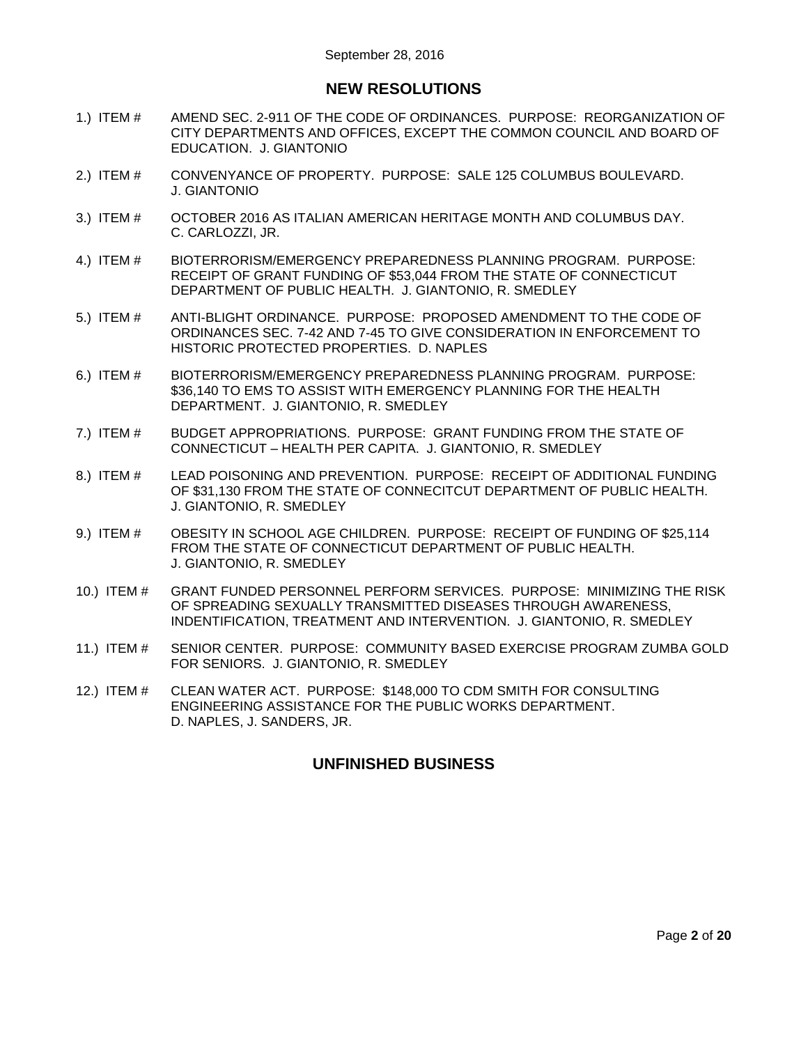# **NEW RESOLUTIONS**

- 1.) ITEM # [AMEND SEC. 2-911 OF THE CODE OF ORDINANCES. PURPOSE: REORGANIZATION OF](#page-8-0)  [CITY DEPARTMENTS AND OFFICES, EXCEPT THE COMMON COUNCIL AND BOARD OF](#page-8-0)  [EDUCATION. J. GIANTONIO](#page-8-0)
- 2.) ITEM # [CONVENYANCE OF PROPERTY. PURPOSE: SALE 125 COLUMBUS BOULEVARD.](#page-10-0)  [J. GIANTONIO](#page-10-0)
- 3.) ITEM # [OCTOBER 2016 AS ITALIAN AMERICAN HERITAGE MONTH AND COLUMBUS DAY.](#page-10-1)  [C. CARLOZZI, JR.](#page-10-1)
- 4.) ITEM # [BIOTERRORISM/EMERGENCY PREPAREDNESS PLANNING PROGRAM. PURPOSE:](#page-10-2)  [RECEIPT OF GRANT FUNDING OF \\$53,044 FROM THE STATE OF CONNECTICUT](#page-10-2)  [DEPARTMENT OF PUBLIC HEALTH. J. GIANTONIO, R. SMEDLEY](#page-10-2)
- 5.) ITEM # [ANTI-BLIGHT ORDINANCE. PURPOSE: PROPOSED AMENDMENT TO THE CODE OF](#page-11-0)  [ORDINANCES SEC. 7-42 AND 7-45 TO GIVE CONSIDERATION IN ENFORCEMENT TO](#page-11-0)  [HISTORIC PROTECTED PROPERTIES. D. NAPLES](#page-11-0)
- 6.) ITEM # [BIOTERRORISM/EMERGENCY PREPAREDNESS PLANNING PROGRAM. PURPOSE:](#page-14-0)  [\\$36,140 TO EMS TO ASSIST WITH EMERGENCY PLANNING FOR THE HEALTH](#page-14-0)  [DEPARTMENT. J. GIANTONIO, R. SMEDLEY](#page-14-0)
- 7.) ITEM # [BUDGET APPROPRIATIONS. PURPOSE: GRANT FUNDING FROM THE STATE OF](#page-15-0)  CONNECTICUT – [HEALTH PER CAPITA. J. GIANTONIO, R. SMEDLEY](#page-15-0)
- 8.) ITEM # [LEAD POISONING AND PREVENTION. PURPOSE: RECEIPT OF ADDITIONAL FUNDING](#page-16-0)  [OF \\$31,130 FROM THE STATE OF CONNECITCUT DEPARTMENT OF PUBLIC HEALTH.](#page-16-0)  [J. GIANTONIO, R. SMEDLEY](#page-16-0)
- 9.) ITEM # [OBESITY IN SCHOOL AGE CHILDREN. PURPOSE: RECEIPT OF FUNDING OF \\$25,114](#page-17-0)  [FROM THE STATE OF CONNECTICUT DEPARTMENT OF PUBLIC HEALTH.](#page-17-0)  [J. GIANTONIO, R. SMEDLEY](#page-17-0)
- 10.) ITEM # [GRANT FUNDED PERSONNEL PERFORM SERVICES. PURPOSE: MINIMIZING THE RISK](#page-17-1)  [OF SPREADING SEXUALLY TRANSMITTED DISEASES THROUGH AWARENESS,](#page-17-1)  [INDENTIFICATION, TREATMENT AND INTERVENTION. J. GIANTONIO, R. SMEDLEY](#page-17-1)
- 11.) ITEM # [SENIOR CENTER. PURPOSE: COMMUNITY BASED EXERCISE PROGRAM ZUMBA GOLD](#page-18-0)  [FOR SENIORS. J. GIANTONIO, R. SMEDLEY](#page-18-0)
- 12.) ITEM # [CLEAN WATER ACT. PURPOSE: \\$148,000 TO CDM SMITH FOR CONSULTING](#page-19-0)  [ENGINEERING ASSISTANCE FOR THE PUBLIC WORKS DEPARTMENT.](#page-19-0)  [D. NAPLES, J. SANDERS, JR.](#page-19-0)

# **UNFINISHED BUSINESS**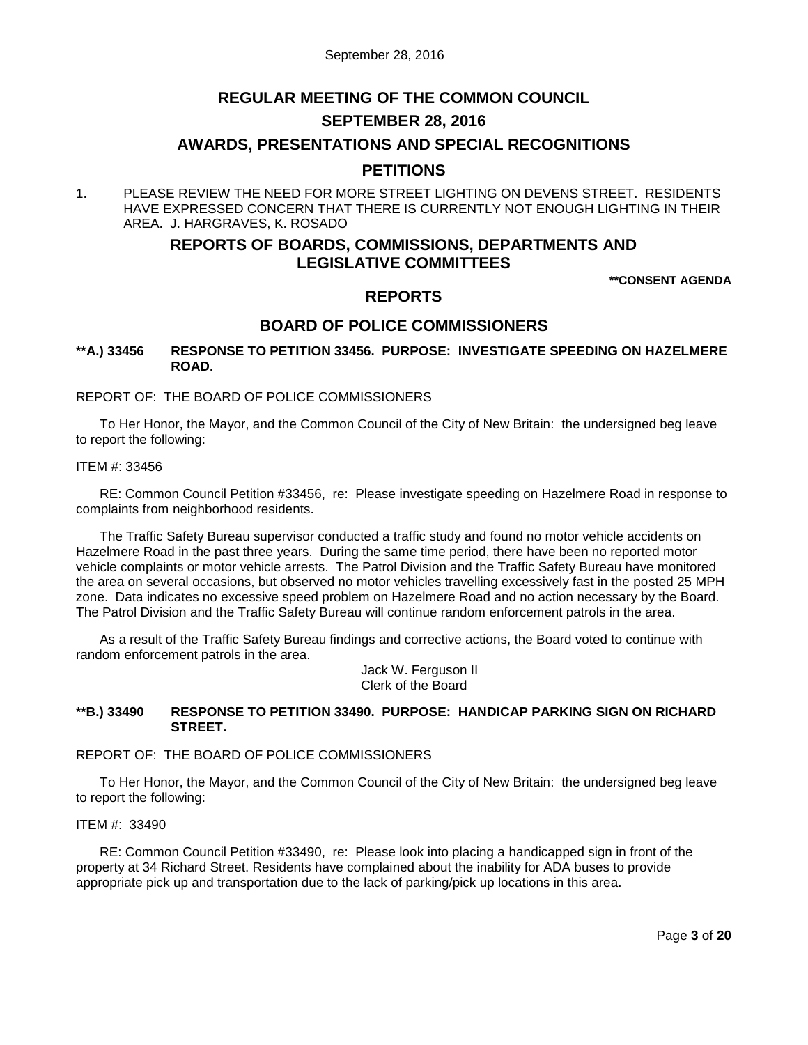# **REGULAR MEETING OF THE COMMON COUNCIL**

# **SEPTEMBER 28, 2016**

## **AWARDS, PRESENTATIONS AND SPECIAL RECOGNITIONS**

## **PETITIONS**

1. PLEASE REVIEW THE NEED FOR MORE STREET LIGHTING ON DEVENS STREET. RESIDENTS HAVE EXPRESSED CONCERN THAT THERE IS CURRENTLY NOT ENOUGH LIGHTING IN THEIR AREA. J. HARGRAVES, K. ROSADO

# **REPORTS OF BOARDS, COMMISSIONS, DEPARTMENTS AND LEGISLATIVE COMMITTEES**

**\*\*CONSENT AGENDA**

# **REPORTS**

# **BOARD OF POLICE COMMISSIONERS**

## <span id="page-2-0"></span>**\*\*A.) 33456 RESPONSE TO PETITION 33456. PURPOSE: INVESTIGATE SPEEDING ON HAZELMERE ROAD.**

REPORT OF: THE BOARD OF POLICE COMMISSIONERS

To Her Honor, the Mayor, and the Common Council of the City of New Britain: the undersigned beg leave to report the following:

#### ITEM #: 33456

RE: Common Council Petition #33456, re: Please investigate speeding on Hazelmere Road in response to complaints from neighborhood residents.

The Traffic Safety Bureau supervisor conducted a traffic study and found no motor vehicle accidents on Hazelmere Road in the past three years. During the same time period, there have been no reported motor vehicle complaints or motor vehicle arrests. The Patrol Division and the Traffic Safety Bureau have monitored the area on several occasions, but observed no motor vehicles travelling excessively fast in the posted 25 MPH zone. Data indicates no excessive speed problem on Hazelmere Road and no action necessary by the Board. The Patrol Division and the Traffic Safety Bureau will continue random enforcement patrols in the area.

As a result of the Traffic Safety Bureau findings and corrective actions, the Board voted to continue with random enforcement patrols in the area.

> Jack W. Ferguson II Clerk of the Board

### <span id="page-2-1"></span>**\*\*B.) 33490 RESPONSE TO PETITION 33490. PURPOSE: HANDICAP PARKING SIGN ON RICHARD STREET.**

### REPORT OF: THE BOARD OF POLICE COMMISSIONERS

To Her Honor, the Mayor, and the Common Council of the City of New Britain: the undersigned beg leave to report the following:

#### ITEM #: 33490

RE: Common Council Petition #33490, re: Please look into placing a handicapped sign in front of the property at 34 Richard Street. Residents have complained about the inability for ADA buses to provide appropriate pick up and transportation due to the lack of parking/pick up locations in this area.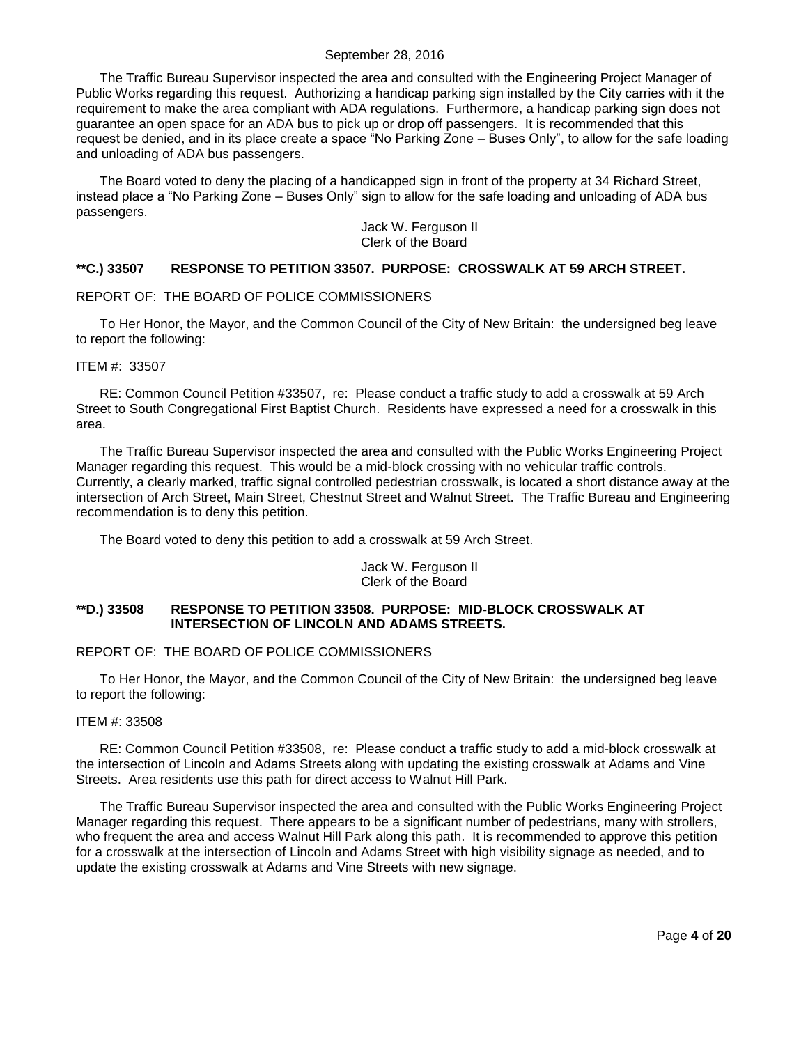The Traffic Bureau Supervisor inspected the area and consulted with the Engineering Project Manager of Public Works regarding this request. Authorizing a handicap parking sign installed by the City carries with it the requirement to make the area compliant with ADA regulations. Furthermore, a handicap parking sign does not guarantee an open space for an ADA bus to pick up or drop off passengers. It is recommended that this request be denied, and in its place create a space "No Parking Zone – Buses Only", to allow for the safe loading and unloading of ADA bus passengers.

The Board voted to deny the placing of a handicapped sign in front of the property at 34 Richard Street, instead place a "No Parking Zone – Buses Only" sign to allow for the safe loading and unloading of ADA bus passengers.

Jack W. Ferguson II Clerk of the Board

### <span id="page-3-0"></span>**\*\*C.) 33507 RESPONSE TO PETITION 33507. PURPOSE: CROSSWALK AT 59 ARCH STREET.**

### REPORT OF: THE BOARD OF POLICE COMMISSIONERS

To Her Honor, the Mayor, and the Common Council of the City of New Britain: the undersigned beg leave to report the following:

ITEM #: 33507

RE: Common Council Petition #33507, re: Please conduct a traffic study to add a crosswalk at 59 Arch Street to South Congregational First Baptist Church. Residents have expressed a need for a crosswalk in this area.

The Traffic Bureau Supervisor inspected the area and consulted with the Public Works Engineering Project Manager regarding this request. This would be a mid-block crossing with no vehicular traffic controls. Currently, a clearly marked, traffic signal controlled pedestrian crosswalk, is located a short distance away at the intersection of Arch Street, Main Street, Chestnut Street and Walnut Street. The Traffic Bureau and Engineering recommendation is to deny this petition.

The Board voted to deny this petition to add a crosswalk at 59 Arch Street.

Jack W. Ferguson II Clerk of the Board

## <span id="page-3-1"></span>**\*\*D.) 33508 RESPONSE TO PETITION 33508. PURPOSE: MID-BLOCK CROSSWALK AT INTERSECTION OF LINCOLN AND ADAMS STREETS.**

#### REPORT OF: THE BOARD OF POLICE COMMISSIONERS

To Her Honor, the Mayor, and the Common Council of the City of New Britain: the undersigned beg leave to report the following:

#### ITEM #: 33508

RE: Common Council Petition #33508, re: Please conduct a traffic study to add a mid-block crosswalk at the intersection of Lincoln and Adams Streets along with updating the existing crosswalk at Adams and Vine Streets. Area residents use this path for direct access to Walnut Hill Park.

The Traffic Bureau Supervisor inspected the area and consulted with the Public Works Engineering Project Manager regarding this request. There appears to be a significant number of pedestrians, many with strollers, who frequent the area and access Walnut Hill Park along this path. It is recommended to approve this petition for a crosswalk at the intersection of Lincoln and Adams Street with high visibility signage as needed, and to update the existing crosswalk at Adams and Vine Streets with new signage.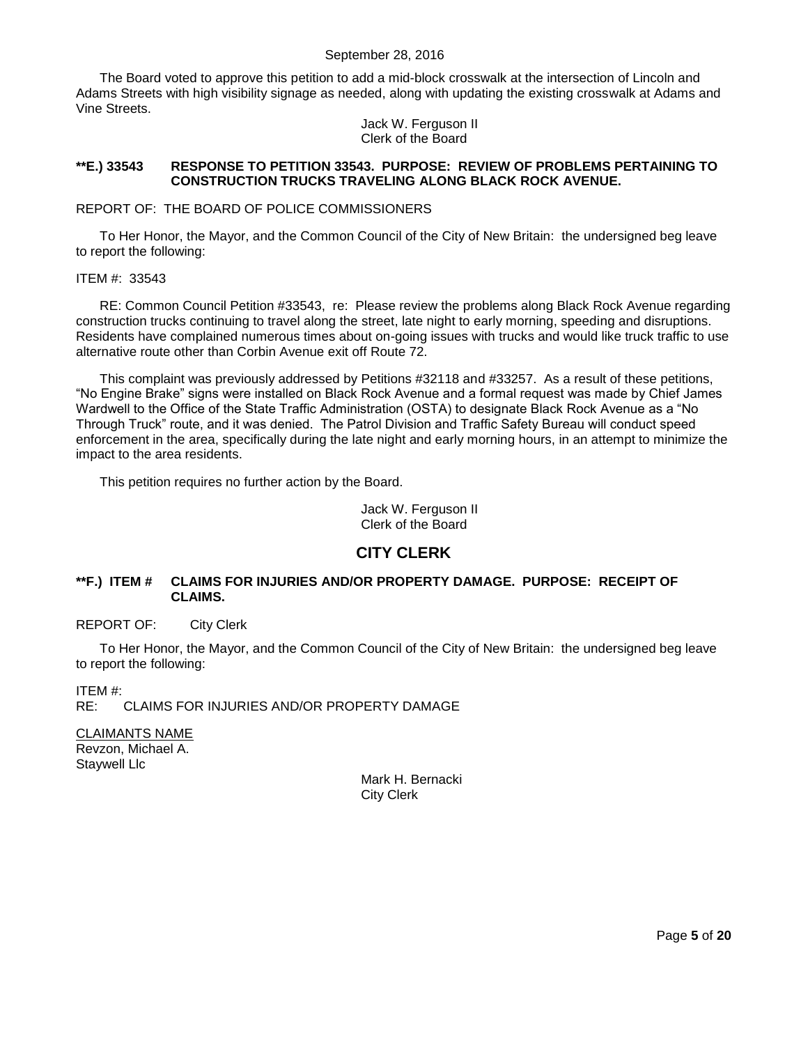The Board voted to approve this petition to add a mid-block crosswalk at the intersection of Lincoln and Adams Streets with high visibility signage as needed, along with updating the existing crosswalk at Adams and Vine Streets.

> Jack W. Ferguson II Clerk of the Board

## <span id="page-4-0"></span>**\*\*E.) 33543 RESPONSE TO PETITION 33543. PURPOSE: REVIEW OF PROBLEMS PERTAINING TO CONSTRUCTION TRUCKS TRAVELING ALONG BLACK ROCK AVENUE.**

### REPORT OF: THE BOARD OF POLICE COMMISSIONERS

To Her Honor, the Mayor, and the Common Council of the City of New Britain: the undersigned beg leave to report the following:

### ITEM #: 33543

RE: Common Council Petition #33543, re: Please review the problems along Black Rock Avenue regarding construction trucks continuing to travel along the street, late night to early morning, speeding and disruptions. Residents have complained numerous times about on-going issues with trucks and would like truck traffic to use alternative route other than Corbin Avenue exit off Route 72.

This complaint was previously addressed by Petitions #32118 and #33257. As a result of these petitions, "No Engine Brake" signs were installed on Black Rock Avenue and a formal request was made by Chief James Wardwell to the Office of the State Traffic Administration (OSTA) to designate Black Rock Avenue as a "No Through Truck" route, and it was denied. The Patrol Division and Traffic Safety Bureau will conduct speed enforcement in the area, specifically during the late night and early morning hours, in an attempt to minimize the impact to the area residents.

This petition requires no further action by the Board.

Jack W. Ferguson II Clerk of the Board

# **CITY CLERK**

## <span id="page-4-1"></span>**\*\*F.) ITEM # CLAIMS FOR INJURIES AND/OR PROPERTY DAMAGE. PURPOSE: RECEIPT OF CLAIMS.**

### REPORT OF: City Clerk

To Her Honor, the Mayor, and the Common Council of the City of New Britain: the undersigned beg leave to report the following:

ITEM #:

RE: CLAIMS FOR INJURIES AND/OR PROPERTY DAMAGE

CLAIMANTS NAME Revzon, Michael A. Staywell Llc

Mark H. Bernacki City Clerk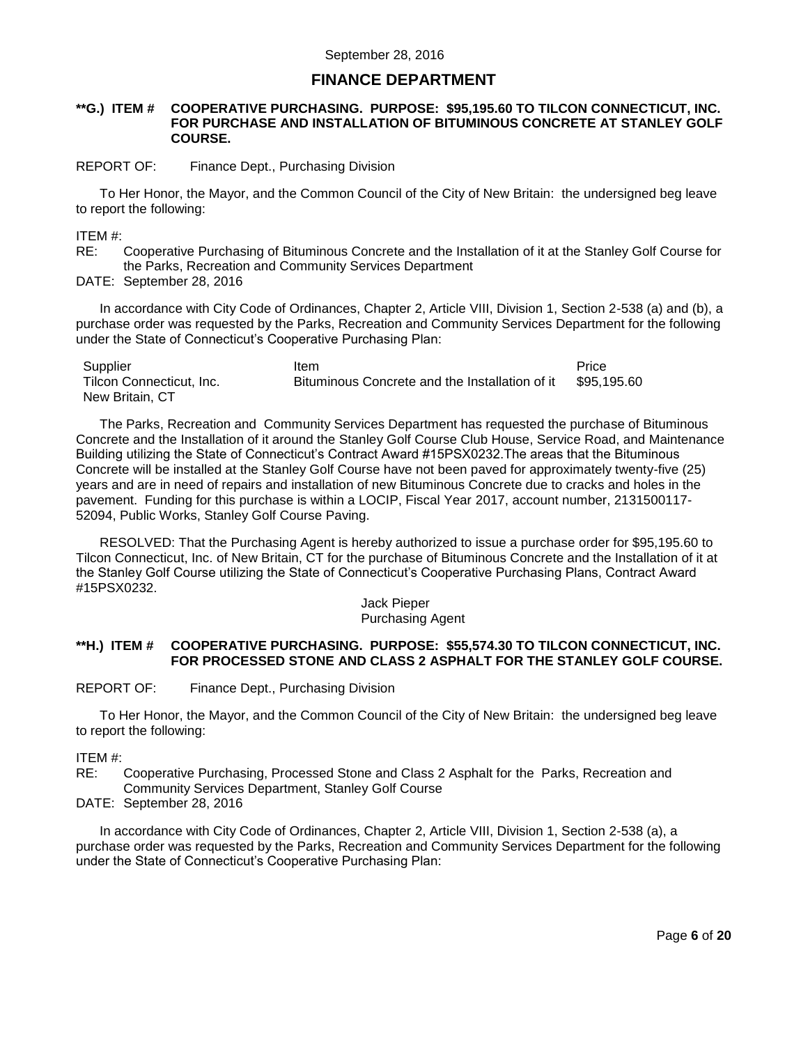# **FINANCE DEPARTMENT**

#### <span id="page-5-0"></span>**\*\*G.) ITEM # COOPERATIVE PURCHASING. PURPOSE: \$95,195.60 TO TILCON CONNECTICUT, INC. FOR PURCHASE AND INSTALLATION OF BITUMINOUS CONCRETE AT STANLEY GOLF COURSE.**

#### REPORT OF: Finance Dept., Purchasing Division

To Her Honor, the Mayor, and the Common Council of the City of New Britain: the undersigned beg leave to report the following:

ITEM #:

RE: Cooperative Purchasing of Bituminous Concrete and the Installation of it at the Stanley Golf Course for the Parks, Recreation and Community Services Department

DATE: September 28, 2016

In accordance with City Code of Ordinances, Chapter 2, Article VIII, Division 1, Section 2-538 (a) and (b), a purchase order was requested by the Parks, Recreation and Community Services Department for the following under the State of Connecticut's Cooperative Purchasing Plan:

| Supplier                 | Item                                           | Price       |
|--------------------------|------------------------------------------------|-------------|
| Tilcon Connecticut, Inc. | Bituminous Concrete and the Installation of it | \$95.195.60 |
| New Britain, CT          |                                                |             |

The Parks, Recreation and Community Services Department has requested the purchase of Bituminous Concrete and the Installation of it around the Stanley Golf Course Club House, Service Road, and Maintenance Building utilizing the State of Connecticut's Contract Award #15PSX0232.The areas that the Bituminous Concrete will be installed at the Stanley Golf Course have not been paved for approximately twenty-five (25) years and are in need of repairs and installation of new Bituminous Concrete due to cracks and holes in the pavement. Funding for this purchase is within a LOCIP, Fiscal Year 2017, account number, 2131500117- 52094, Public Works, Stanley Golf Course Paving.

RESOLVED: That the Purchasing Agent is hereby authorized to issue a purchase order for \$95,195.60 to Tilcon Connecticut, Inc. of New Britain, CT for the purchase of Bituminous Concrete and the Installation of it at the Stanley Golf Course utilizing the State of Connecticut's Cooperative Purchasing Plans, Contract Award #15PSX0232.

#### Jack Pieper Purchasing Agent

### <span id="page-5-1"></span>**\*\*H.) ITEM # COOPERATIVE PURCHASING. PURPOSE: \$55,574.30 TO TILCON CONNECTICUT, INC. FOR PROCESSED STONE AND CLASS 2 ASPHALT FOR THE STANLEY GOLF COURSE.**

REPORT OF: Finance Dept., Purchasing Division

To Her Honor, the Mayor, and the Common Council of the City of New Britain: the undersigned beg leave to report the following:

ITEM #:

RE: Cooperative Purchasing, Processed Stone and Class 2 Asphalt for the Parks, Recreation and Community Services Department, Stanley Golf Course

DATE: September 28, 2016

In accordance with City Code of Ordinances, Chapter 2, Article VIII, Division 1, Section 2-538 (a), a purchase order was requested by the Parks, Recreation and Community Services Department for the following under the State of Connecticut's Cooperative Purchasing Plan: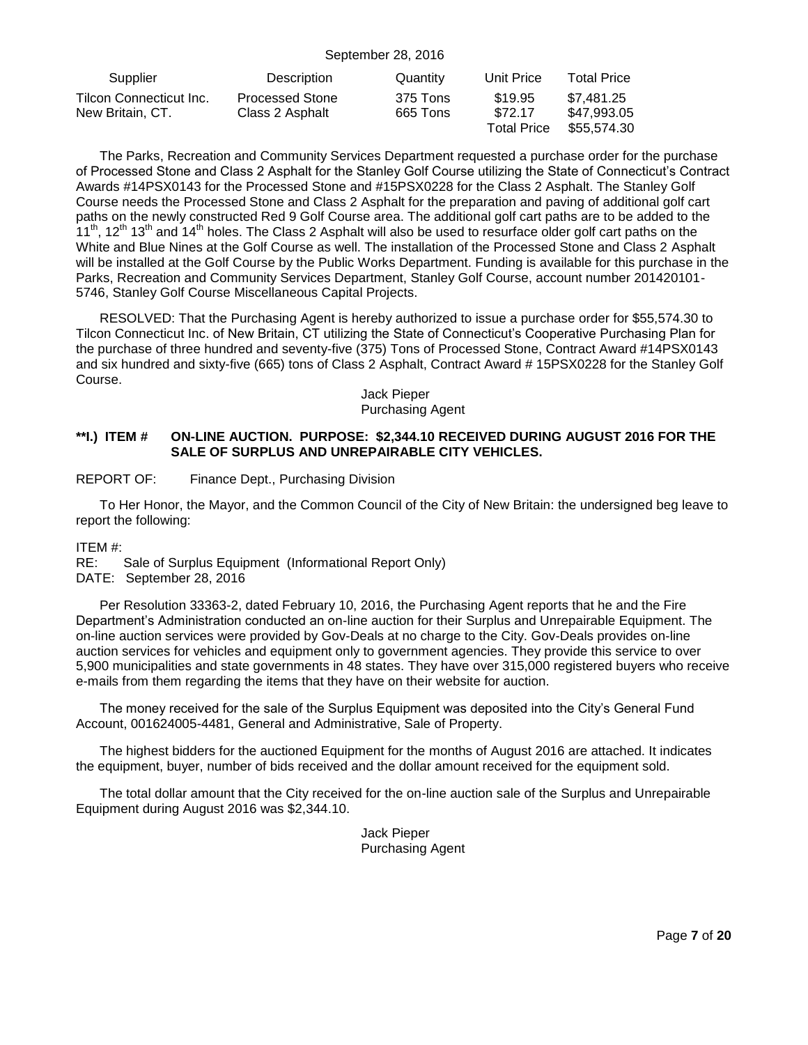| Supplier                                    | Description                               | Quantity             | Unit Price                               | <b>Total Price</b>                       |
|---------------------------------------------|-------------------------------------------|----------------------|------------------------------------------|------------------------------------------|
| Tilcon Connecticut Inc.<br>New Britain, CT. | <b>Processed Stone</b><br>Class 2 Asphalt | 375 Tons<br>665 Tons | \$19.95<br>\$72.17<br><b>Total Price</b> | \$7.481.25<br>\$47.993.05<br>\$55,574.30 |

The Parks, Recreation and Community Services Department requested a purchase order for the purchase of Processed Stone and Class 2 Asphalt for the Stanley Golf Course utilizing the State of Connecticut's Contract Awards #14PSX0143 for the Processed Stone and #15PSX0228 for the Class 2 Asphalt. The Stanley Golf Course needs the Processed Stone and Class 2 Asphalt for the preparation and paving of additional golf cart paths on the newly constructed Red 9 Golf Course area. The additional golf cart paths are to be added to the 11<sup>th</sup>, 12<sup>th</sup> 13<sup>th</sup> and 14<sup>th</sup> holes. The Class 2 Asphalt will also be used to resurface older golf cart paths on the White and Blue Nines at the Golf Course as well. The installation of the Processed Stone and Class 2 Asphalt will be installed at the Golf Course by the Public Works Department. Funding is available for this purchase in the Parks, Recreation and Community Services Department, Stanley Golf Course, account number 201420101- 5746, Stanley Golf Course Miscellaneous Capital Projects.

RESOLVED: That the Purchasing Agent is hereby authorized to issue a purchase order for \$55,574.30 to Tilcon Connecticut Inc. of New Britain, CT utilizing the State of Connecticut's Cooperative Purchasing Plan for the purchase of three hundred and seventy-five (375) Tons of Processed Stone, Contract Award #14PSX0143 and six hundred and sixty-five (665) tons of Class 2 Asphalt, Contract Award # 15PSX0228 for the Stanley Golf Course.

#### Jack Pieper Purchasing Agent

### <span id="page-6-0"></span>**\*\*I.) ITEM # ON-LINE AUCTION. PURPOSE: \$2,344.10 RECEIVED DURING AUGUST 2016 FOR THE SALE OF SURPLUS AND UNREPAIRABLE CITY VEHICLES.**

REPORT OF: Finance Dept., Purchasing Division

To Her Honor, the Mayor, and the Common Council of the City of New Britain: the undersigned beg leave to report the following:

ITEM #:

RE: Sale of Surplus Equipment (Informational Report Only)

DATE: September 28, 2016

Per Resolution 33363-2, dated February 10, 2016, the Purchasing Agent reports that he and the Fire Department's Administration conducted an on-line auction for their Surplus and Unrepairable Equipment. The on-line auction services were provided by Gov-Deals at no charge to the City. Gov-Deals provides on-line auction services for vehicles and equipment only to government agencies. They provide this service to over 5,900 municipalities and state governments in 48 states. They have over 315,000 registered buyers who receive e-mails from them regarding the items that they have on their website for auction.

The money received for the sale of the Surplus Equipment was deposited into the City's General Fund Account, 001624005-4481, General and Administrative, Sale of Property.

The highest bidders for the auctioned Equipment for the months of August 2016 are attached. It indicates the equipment, buyer, number of bids received and the dollar amount received for the equipment sold.

<span id="page-6-1"></span>The total dollar amount that the City received for the on-line auction sale of the Surplus and Unrepairable Equipment during August 2016 was \$2,344.10.

> Jack Pieper Purchasing Agent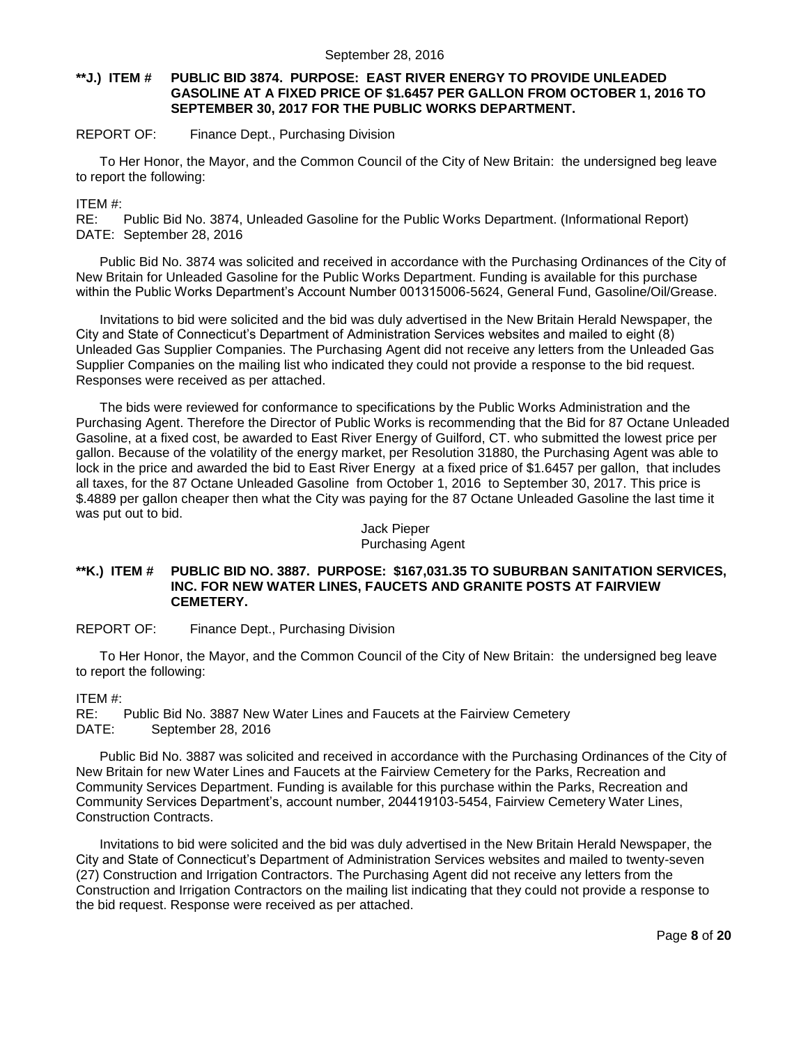### **\*\*J.) ITEM # PUBLIC BID 3874. PURPOSE: EAST RIVER ENERGY TO PROVIDE UNLEADED GASOLINE AT A FIXED PRICE OF \$1.6457 PER GALLON FROM OCTOBER 1, 2016 TO SEPTEMBER 30, 2017 FOR THE PUBLIC WORKS DEPARTMENT.**

## REPORT OF: Finance Dept., Purchasing Division

To Her Honor, the Mayor, and the Common Council of the City of New Britain: the undersigned beg leave to report the following:

ITEM #:

RE: Public Bid No. 3874, Unleaded Gasoline for the Public Works Department. (Informational Report) DATE: September 28, 2016

Public Bid No. 3874 was solicited and received in accordance with the Purchasing Ordinances of the City of New Britain for Unleaded Gasoline for the Public Works Department. Funding is available for this purchase within the Public Works Department's Account Number 001315006-5624, General Fund, Gasoline/Oil/Grease.

Invitations to bid were solicited and the bid was duly advertised in the New Britain Herald Newspaper, the City and State of Connecticut's Department of Administration Services websites and mailed to eight (8) Unleaded Gas Supplier Companies. The Purchasing Agent did not receive any letters from the Unleaded Gas Supplier Companies on the mailing list who indicated they could not provide a response to the bid request. Responses were received as per attached.

The bids were reviewed for conformance to specifications by the Public Works Administration and the Purchasing Agent. Therefore the Director of Public Works is recommending that the Bid for 87 Octane Unleaded Gasoline, at a fixed cost, be awarded to East River Energy of Guilford, CT. who submitted the lowest price per gallon. Because of the volatility of the energy market, per Resolution 31880, the Purchasing Agent was able to lock in the price and awarded the bid to East River Energy at a fixed price of \$1.6457 per gallon, that includes all taxes, for the 87 Octane Unleaded Gasoline from October 1, 2016 to September 30, 2017. This price is \$.4889 per gallon cheaper then what the City was paying for the 87 Octane Unleaded Gasoline the last time it was put out to bid.

Jack Pieper Purchasing Agent

### <span id="page-7-0"></span>**\*\*K.) ITEM # PUBLIC BID NO. 3887. PURPOSE: \$167,031.35 TO SUBURBAN SANITATION SERVICES, INC. FOR NEW WATER LINES, FAUCETS AND GRANITE POSTS AT FAIRVIEW CEMETERY.**

REPORT OF: Finance Dept., Purchasing Division

To Her Honor, the Mayor, and the Common Council of the City of New Britain: the undersigned beg leave to report the following:

ITEM #:

RE: Public Bid No. 3887 New Water Lines and Faucets at the Fairview Cemetery DATE: September 28, 2016

Public Bid No. 3887 was solicited and received in accordance with the Purchasing Ordinances of the City of New Britain for new Water Lines and Faucets at the Fairview Cemetery for the Parks, Recreation and Community Services Department. Funding is available for this purchase within the Parks, Recreation and Community Services Department's, account number, 204419103-5454, Fairview Cemetery Water Lines, Construction Contracts.

Invitations to bid were solicited and the bid was duly advertised in the New Britain Herald Newspaper, the City and State of Connecticut's Department of Administration Services websites and mailed to twenty-seven (27) Construction and Irrigation Contractors. The Purchasing Agent did not receive any letters from the Construction and Irrigation Contractors on the mailing list indicating that they could not provide a response to the bid request. Response were received as per attached.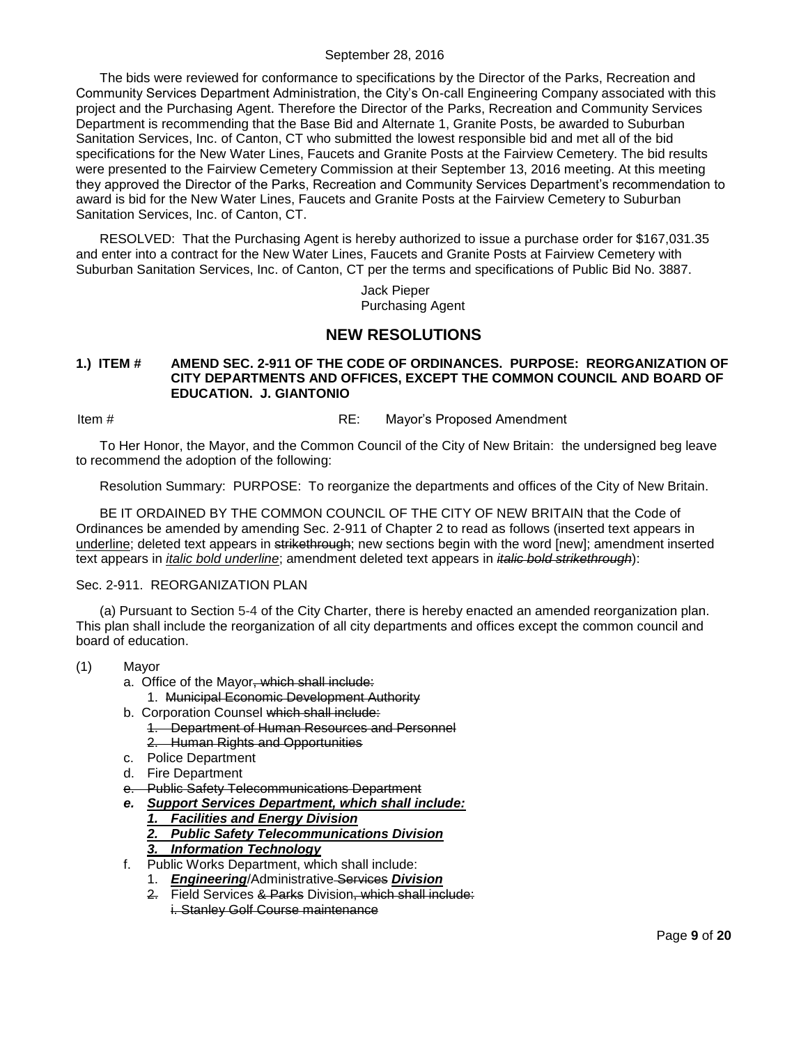The bids were reviewed for conformance to specifications by the Director of the Parks, Recreation and Community Services Department Administration, the City's On-call Engineering Company associated with this project and the Purchasing Agent. Therefore the Director of the Parks, Recreation and Community Services Department is recommending that the Base Bid and Alternate 1, Granite Posts, be awarded to Suburban Sanitation Services, Inc. of Canton, CT who submitted the lowest responsible bid and met all of the bid specifications for the New Water Lines, Faucets and Granite Posts at the Fairview Cemetery. The bid results were presented to the Fairview Cemetery Commission at their September 13, 2016 meeting. At this meeting they approved the Director of the Parks, Recreation and Community Services Department's recommendation to award is bid for the New Water Lines, Faucets and Granite Posts at the Fairview Cemetery to Suburban Sanitation Services, Inc. of Canton, CT.

RESOLVED: That the Purchasing Agent is hereby authorized to issue a purchase order for \$167,031.35 and enter into a contract for the New Water Lines, Faucets and Granite Posts at Fairview Cemetery with Suburban Sanitation Services, Inc. of Canton, CT per the terms and specifications of Public Bid No. 3887.

> Jack Pieper Purchasing Agent

# **NEW RESOLUTIONS**

### <span id="page-8-0"></span>**1.) ITEM # AMEND SEC. 2-911 OF THE CODE OF ORDINANCES. PURPOSE: REORGANIZATION OF CITY DEPARTMENTS AND OFFICES, EXCEPT THE COMMON COUNCIL AND BOARD OF EDUCATION. J. GIANTONIO**

Item #  $RE:$  Mayor's Proposed Amendment

To Her Honor, the Mayor, and the Common Council of the City of New Britain: the undersigned beg leave to recommend the adoption of the following:

Resolution Summary: PURPOSE: To reorganize the departments and offices of the City of New Britain.

BE IT ORDAINED BY THE COMMON COUNCIL OF THE CITY OF NEW BRITAIN that the Code of Ordinances be amended by amending Sec. 2-911 of Chapter 2 to read as follows (inserted text appears in underline; deleted text appears in strikethrough; new sections begin with the word [new]; amendment inserted text appears in *italic bold underline*; amendment deleted text appears in *italic bold strikethrough*):

### Sec. 2-911. REORGANIZATION PLAN

(a) Pursuant to Section 5-4 of the City Charter, there is hereby enacted an amended reorganization plan. This plan shall include the reorganization of all city departments and offices except the common council and board of education.

- (1) Mayor
	- a. Office of the Mayor, which shall include:
		- 1. Municipal Economic Development Authority
	- b. Corporation Counsel which shall include: 1. Department of Human Resources and Personnel 2. Human Rights and Opportunities
	- c. Police Department
	- d. Fire Department
	- e. Public Safety Telecommunications Department
	- *e. Support Services Department, which shall include:*
		- *1. Facilities and Energy Division*
		- *2. Public Safety Telecommunications Division*
		- *3. Information Technology*
	- f. Public Works Department, which shall include:
		- 1. *Engineering*/Administrative Services *Division*
		- 2. Field Services & Parks Division, which shall include: i. Stanley Golf Course maintenance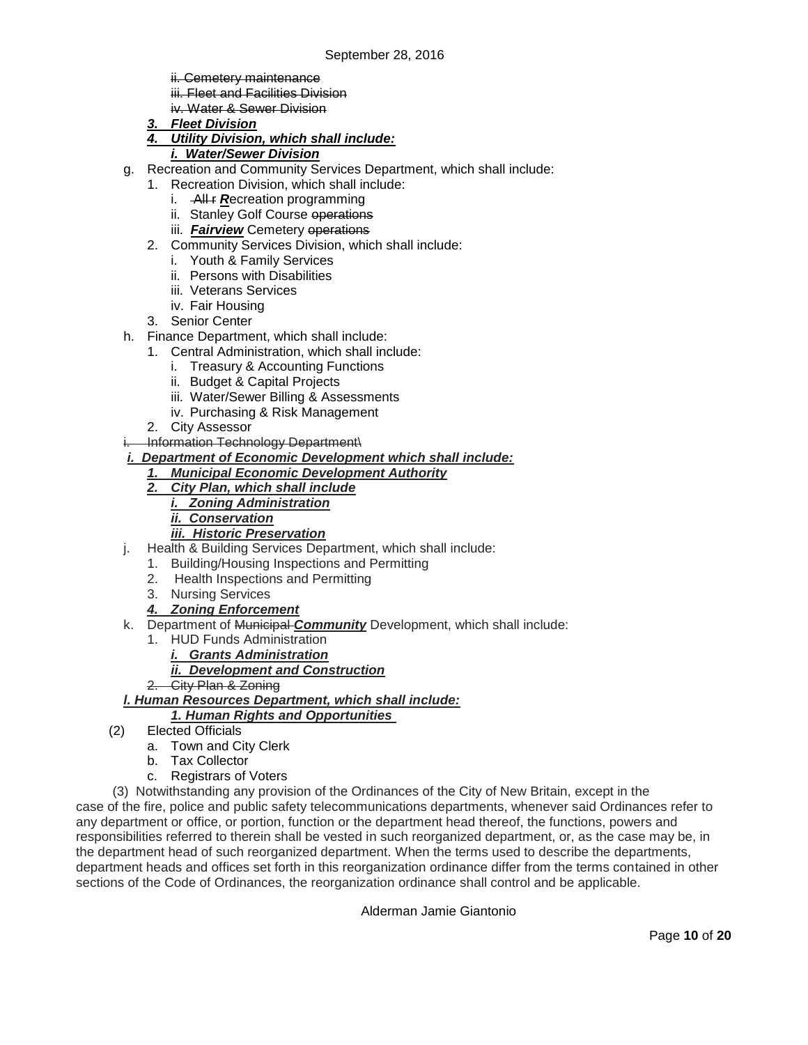ii. Cemetery maintenance

- iii. Fleet and Facilities Division
- iv. Water & Sewer Division
- *3. Fleet Division*

# *4. Utility Division, which shall include:*

## *i. Water/Sewer Division*

- g. Recreation and Community Services Department, which shall include:
	- 1. Recreation Division, which shall include:
		- i. **All r** *Recreation* programming
		- ii. Stanley Golf Course operations
		- iii. **Fairview** Cemetery operations
	- 2. Community Services Division, which shall include:
		- i. Youth & Family Services
		- ii. Persons with Disabilities
		- iii. Veterans Services
		- iv. Fair Housing
	- 3. Senior Center
- h. Finance Department, which shall include:
	- 1. Central Administration, which shall include:
		- i. Treasury & Accounting Functions
		- ii. Budget & Capital Projects
		- iii. Water/Sewer Billing & Assessments
		- iv. Purchasing & Risk Management
	- 2. City Assessor
- Information Technology Department\
- *i. Department of Economic Development which shall include:*
	- *1. Municipal Economic Development Authority*
	- *2. City Plan, which shall include*
		- *i. Zoning Administration*
		- *ii. Conservation*
		- *iii. Historic Preservation*
- j. Health & Building Services Department, which shall include:
	- 1. Building/Housing Inspections and Permitting
	- 2. Health Inspections and Permitting
	- 3. Nursing Services
	- *4. Zoning Enforcement*
- k. Department of Municipal *Community* Development, which shall include:
	- 1. HUD Funds Administration
		- *i. Grants Administration*
		- *ii. Development and Construction*
	- 2. City Plan & Zoning
- *l. Human Resources Department, which shall include:*

# *1. Human Rights and Opportunities*

- (2) Elected Officials
	- a. Town and City Clerk
	- b. Tax Collector
	- c. Registrars of Voters
- (3) Notwithstanding any provision of the Ordinances of the City of New Britain, except in the

case of the fire, police and public safety telecommunications departments, whenever said Ordinances refer to any department or office, or portion, function or the department head thereof, the functions, powers and responsibilities referred to therein shall be vested in such reorganized department, or, as the case may be, in the department head of such reorganized department. When the terms used to describe the departments, department heads and offices set forth in this reorganization ordinance differ from the terms contained in other sections of the Code of Ordinances, the reorganization ordinance shall control and be applicable.

Alderman Jamie Giantonio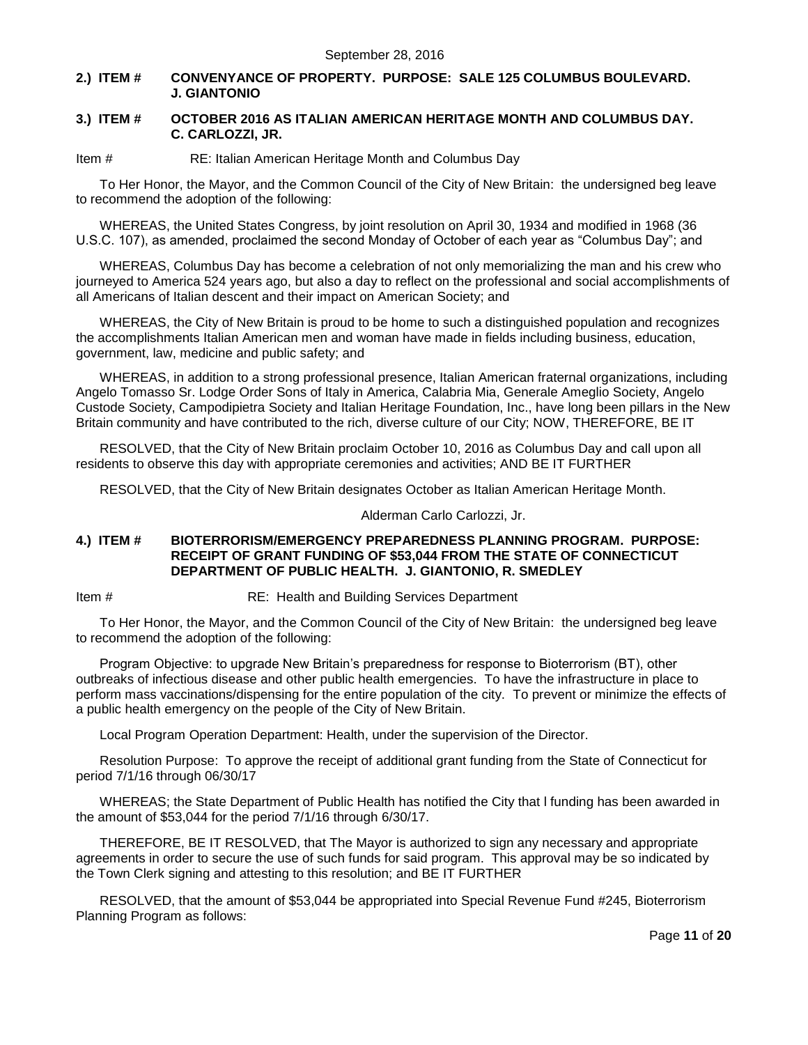## <span id="page-10-0"></span>**2.) ITEM # CONVENYANCE OF PROPERTY. PURPOSE: SALE 125 COLUMBUS BOULEVARD. J. GIANTONIO**

### <span id="page-10-1"></span>**3.) ITEM # OCTOBER 2016 AS ITALIAN AMERICAN HERITAGE MONTH AND COLUMBUS DAY. C. CARLOZZI, JR.**

Item # RE: Italian American Heritage Month and Columbus Day

To Her Honor, the Mayor, and the Common Council of the City of New Britain: the undersigned beg leave to recommend the adoption of the following:

WHEREAS, the United States Congress, by joint resolution on April 30, 1934 and modified in 1968 (36 U.S.C. 107), as amended, proclaimed the second Monday of October of each year as "Columbus Day"; and

WHEREAS, Columbus Day has become a celebration of not only memorializing the man and his crew who journeyed to America 524 years ago, but also a day to reflect on the professional and social accomplishments of all Americans of Italian descent and their impact on American Society; and

WHEREAS, the City of New Britain is proud to be home to such a distinguished population and recognizes the accomplishments Italian American men and woman have made in fields including business, education, government, law, medicine and public safety; and

WHEREAS, in addition to a strong professional presence, Italian American fraternal organizations, including Angelo Tomasso Sr. Lodge Order Sons of Italy in America, Calabria Mia, Generale Ameglio Society, Angelo Custode Society, Campodipietra Society and Italian Heritage Foundation, Inc., have long been pillars in the New Britain community and have contributed to the rich, diverse culture of our City; NOW, THEREFORE, BE IT

RESOLVED, that the City of New Britain proclaim October 10, 2016 as Columbus Day and call upon all residents to observe this day with appropriate ceremonies and activities; AND BE IT FURTHER

RESOLVED, that the City of New Britain designates October as Italian American Heritage Month.

Alderman Carlo Carlozzi, Jr.

#### <span id="page-10-2"></span>**4.) ITEM # BIOTERRORISM/EMERGENCY PREPAREDNESS PLANNING PROGRAM. PURPOSE: RECEIPT OF GRANT FUNDING OF \$53,044 FROM THE STATE OF CONNECTICUT DEPARTMENT OF PUBLIC HEALTH. J. GIANTONIO, R. SMEDLEY**

Item # RE: Health and Building Services Department

To Her Honor, the Mayor, and the Common Council of the City of New Britain: the undersigned beg leave to recommend the adoption of the following:

Program Objective: to upgrade New Britain's preparedness for response to Bioterrorism (BT), other outbreaks of infectious disease and other public health emergencies. To have the infrastructure in place to perform mass vaccinations/dispensing for the entire population of the city. To prevent or minimize the effects of a public health emergency on the people of the City of New Britain.

Local Program Operation Department: Health, under the supervision of the Director.

Resolution Purpose: To approve the receipt of additional grant funding from the State of Connecticut for period 7/1/16 through 06/30/17

WHEREAS; the State Department of Public Health has notified the City that l funding has been awarded in the amount of \$53,044 for the period 7/1/16 through 6/30/17.

THEREFORE, BE IT RESOLVED, that The Mayor is authorized to sign any necessary and appropriate agreements in order to secure the use of such funds for said program. This approval may be so indicated by the Town Clerk signing and attesting to this resolution; and BE IT FURTHER

RESOLVED, that the amount of \$53,044 be appropriated into Special Revenue Fund #245, Bioterrorism Planning Program as follows: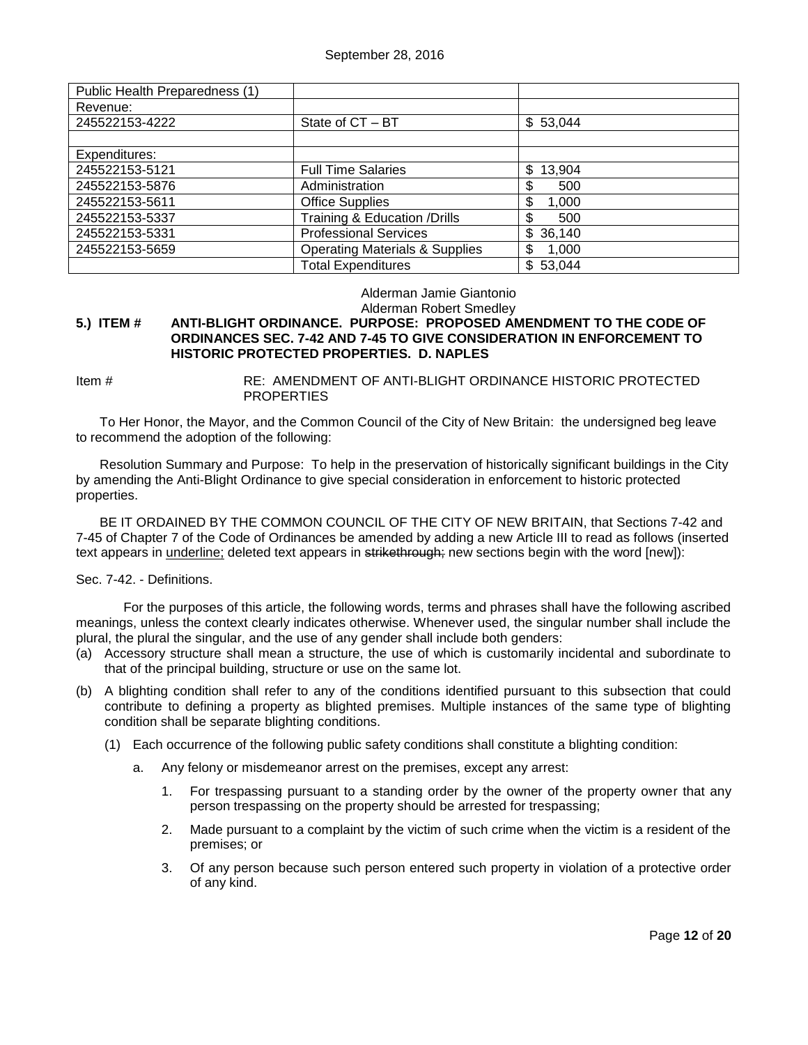| Public Health Preparedness (1) |                                           |              |
|--------------------------------|-------------------------------------------|--------------|
| Revenue:                       |                                           |              |
| 245522153-4222                 | State of CT - BT                          | \$53,044     |
|                                |                                           |              |
| Expenditures:                  |                                           |              |
| 245522153-5121                 | <b>Full Time Salaries</b>                 | \$<br>13,904 |
| 245522153-5876                 | Administration                            | \$<br>500    |
| 245522153-5611                 | <b>Office Supplies</b>                    | 1,000        |
| 245522153-5337                 | Training & Education /Drills              | 500          |
| 245522153-5331                 | <b>Professional Services</b>              | 36,140<br>\$ |
| 245522153-5659                 | <b>Operating Materials &amp; Supplies</b> | 1,000        |
|                                | <b>Total Expenditures</b>                 | \$<br>53,044 |

## Alderman Jamie Giantonio

Alderman Robert Smedley

## <span id="page-11-0"></span>**5.) ITEM # ANTI-BLIGHT ORDINANCE. PURPOSE: PROPOSED AMENDMENT TO THE CODE OF ORDINANCES SEC. 7-42 AND 7-45 TO GIVE CONSIDERATION IN ENFORCEMENT TO HISTORIC PROTECTED PROPERTIES. D. NAPLES**

Item # RE: AMENDMENT OF ANTI-BLIGHT ORDINANCE HISTORIC PROTECTED **PROPERTIES** 

To Her Honor, the Mayor, and the Common Council of the City of New Britain: the undersigned beg leave to recommend the adoption of the following:

Resolution Summary and Purpose: To help in the preservation of historically significant buildings in the City by amending the Anti-Blight Ordinance to give special consideration in enforcement to historic protected properties.

BE IT ORDAINED BY THE COMMON COUNCIL OF THE CITY OF NEW BRITAIN, that Sections 7-42 and 7-45 of Chapter 7 of the Code of Ordinances be amended by adding a new Article III to read as follows (inserted text appears in underline; deleted text appears in strikethrough; new sections begin with the word [new]):

## Sec. 7-42. - Definitions.

For the purposes of this article, the following words, terms and phrases shall have the following ascribed meanings, unless the context clearly indicates otherwise. Whenever used, the singular number shall include the plural, the plural the singular, and the use of any gender shall include both genders:

- (a) Accessory structure shall mean a structure, the use of which is customarily incidental and subordinate to that of the principal building, structure or use on the same lot.
- (b) A blighting condition shall refer to any of the conditions identified pursuant to this subsection that could contribute to defining a property as blighted premises. Multiple instances of the same type of blighting condition shall be separate blighting conditions.
	- (1) Each occurrence of the following public safety conditions shall constitute a blighting condition:
		- a. Any felony or misdemeanor arrest on the premises, except any arrest:
			- 1. For trespassing pursuant to a standing order by the owner of the property owner that any person trespassing on the property should be arrested for trespassing;
			- 2. Made pursuant to a complaint by the victim of such crime when the victim is a resident of the premises; or
			- 3. Of any person because such person entered such property in violation of a protective order of any kind.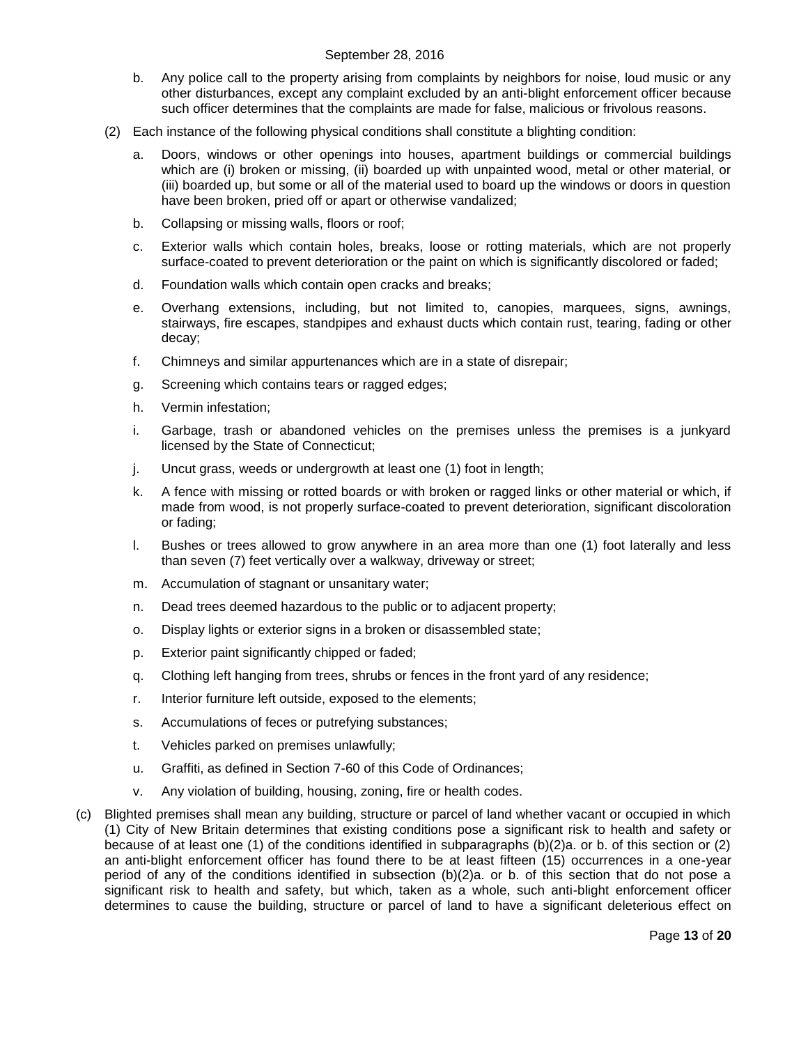- b. Any police call to the property arising from complaints by neighbors for noise, loud music or any other disturbances, except any complaint excluded by an anti-blight enforcement officer because such officer determines that the complaints are made for false, malicious or frivolous reasons.
- (2) Each instance of the following physical conditions shall constitute a blighting condition:
	- a. Doors, windows or other openings into houses, apartment buildings or commercial buildings which are (i) broken or missing, (ii) boarded up with unpainted wood, metal or other material, or (iii) boarded up, but some or all of the material used to board up the windows or doors in question have been broken, pried off or apart or otherwise vandalized;
	- b. Collapsing or missing walls, floors or roof;
	- c. Exterior walls which contain holes, breaks, loose or rotting materials, which are not properly surface-coated to prevent deterioration or the paint on which is significantly discolored or faded;
	- d. Foundation walls which contain open cracks and breaks;
	- e. Overhang extensions, including, but not limited to, canopies, marquees, signs, awnings, stairways, fire escapes, standpipes and exhaust ducts which contain rust, tearing, fading or other decay;
	- f. Chimneys and similar appurtenances which are in a state of disrepair;
	- g. Screening which contains tears or ragged edges;
	- h. Vermin infestation;
	- i. Garbage, trash or abandoned vehicles on the premises unless the premises is a junkyard licensed by the State of Connecticut;
	- j. Uncut grass, weeds or undergrowth at least one (1) foot in length;
	- k. A fence with missing or rotted boards or with broken or ragged links or other material or which, if made from wood, is not properly surface-coated to prevent deterioration, significant discoloration or fading;
	- l. Bushes or trees allowed to grow anywhere in an area more than one (1) foot laterally and less than seven (7) feet vertically over a walkway, driveway or street;
	- m. Accumulation of stagnant or unsanitary water;
	- n. Dead trees deemed hazardous to the public or to adjacent property;
	- o. Display lights or exterior signs in a broken or disassembled state;
	- p. Exterior paint significantly chipped or faded;
	- q. Clothing left hanging from trees, shrubs or fences in the front yard of any residence;
	- r. Interior furniture left outside, exposed to the elements;
	- s. Accumulations of feces or putrefying substances;
	- t. Vehicles parked on premises unlawfully;
	- u. Graffiti, as defined in Section 7-60 of this Code of Ordinances;
	- v. Any violation of building, housing, zoning, fire or health codes.
- (c) Blighted premises shall mean any building, structure or parcel of land whether vacant or occupied in which (1) City of New Britain determines that existing conditions pose a significant risk to health and safety or because of at least one (1) of the conditions identified in subparagraphs (b)(2)a. or b. of this section or (2) an anti-blight enforcement officer has found there to be at least fifteen (15) occurrences in a one-year period of any of the conditions identified in subsection (b)(2)a. or b. of this section that do not pose a significant risk to health and safety, but which, taken as a whole, such anti-blight enforcement officer determines to cause the building, structure or parcel of land to have a significant deleterious effect on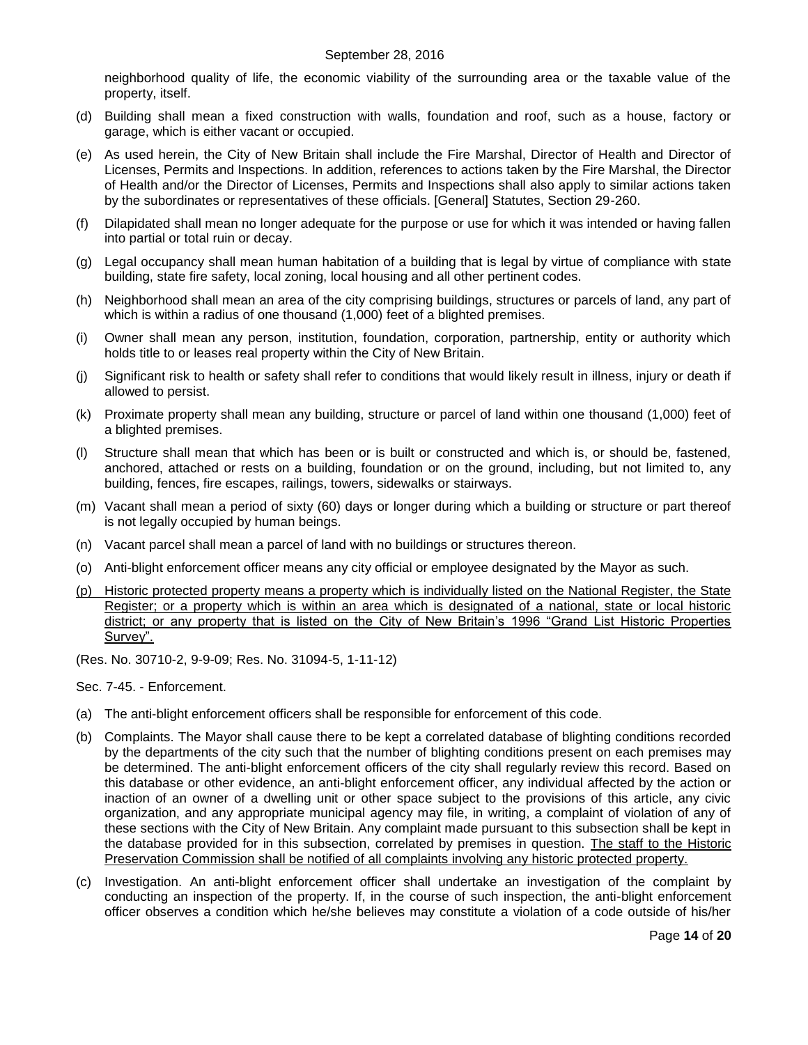neighborhood quality of life, the economic viability of the surrounding area or the taxable value of the property, itself.

- (d) Building shall mean a fixed construction with walls, foundation and roof, such as a house, factory or garage, which is either vacant or occupied.
- (e) As used herein, the City of New Britain shall include the Fire Marshal, Director of Health and Director of Licenses, Permits and Inspections. In addition, references to actions taken by the Fire Marshal, the Director of Health and/or the Director of Licenses, Permits and Inspections shall also apply to similar actions taken by the subordinates or representatives of these officials. [General] Statutes, Section 29-260.
- (f) Dilapidated shall mean no longer adequate for the purpose or use for which it was intended or having fallen into partial or total ruin or decay.
- (g) Legal occupancy shall mean human habitation of a building that is legal by virtue of compliance with state building, state fire safety, local zoning, local housing and all other pertinent codes.
- (h) Neighborhood shall mean an area of the city comprising buildings, structures or parcels of land, any part of which is within a radius of one thousand (1,000) feet of a blighted premises.
- (i) Owner shall mean any person, institution, foundation, corporation, partnership, entity or authority which holds title to or leases real property within the City of New Britain.
- (j) Significant risk to health or safety shall refer to conditions that would likely result in illness, injury or death if allowed to persist.
- (k) Proximate property shall mean any building, structure or parcel of land within one thousand (1,000) feet of a blighted premises.
- (l) Structure shall mean that which has been or is built or constructed and which is, or should be, fastened, anchored, attached or rests on a building, foundation or on the ground, including, but not limited to, any building, fences, fire escapes, railings, towers, sidewalks or stairways.
- (m) Vacant shall mean a period of sixty (60) days or longer during which a building or structure or part thereof is not legally occupied by human beings.
- (n) Vacant parcel shall mean a parcel of land with no buildings or structures thereon.
- (o) Anti-blight enforcement officer means any city official or employee designated by the Mayor as such.
- (p) Historic protected property means a property which is individually listed on the National Register, the State Register; or a property which is within an area which is designated of a national, state or local historic district; or any property that is listed on the City of New Britain's 1996 "Grand List Historic Properties Survey".
- (Res. No. 30710-2, 9-9-09; Res. No. 31094-5, 1-11-12)

Sec. 7-45. - Enforcement.

- (a) The anti-blight enforcement officers shall be responsible for enforcement of this code.
- (b) Complaints. The Mayor shall cause there to be kept a correlated database of blighting conditions recorded by the departments of the city such that the number of blighting conditions present on each premises may be determined. The anti-blight enforcement officers of the city shall regularly review this record. Based on this database or other evidence, an anti-blight enforcement officer, any individual affected by the action or inaction of an owner of a dwelling unit or other space subject to the provisions of this article, any civic organization, and any appropriate municipal agency may file, in writing, a complaint of violation of any of these sections with the City of New Britain. Any complaint made pursuant to this subsection shall be kept in the database provided for in this subsection, correlated by premises in question. The staff to the Historic Preservation Commission shall be notified of all complaints involving any historic protected property.
- (c) Investigation. An anti-blight enforcement officer shall undertake an investigation of the complaint by conducting an inspection of the property. If, in the course of such inspection, the anti-blight enforcement officer observes a condition which he/she believes may constitute a violation of a code outside of his/her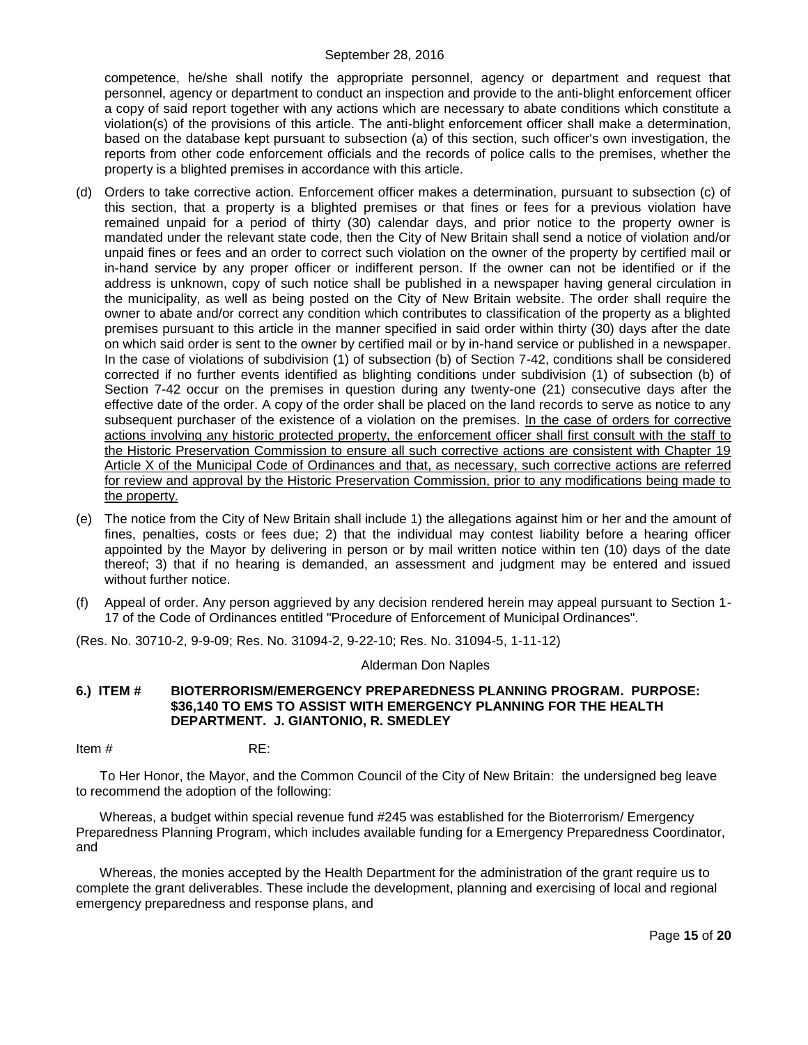competence, he/she shall notify the appropriate personnel, agency or department and request that personnel, agency or department to conduct an inspection and provide to the anti-blight enforcement officer a copy of said report together with any actions which are necessary to abate conditions which constitute a violation(s) of the provisions of this article. The anti-blight enforcement officer shall make a determination, based on the database kept pursuant to subsection (a) of this section, such officer's own investigation, the reports from other code enforcement officials and the records of police calls to the premises, whether the property is a blighted premises in accordance with this article.

- (d) Orders to take corrective action. Enforcement officer makes a determination, pursuant to subsection (c) of this section, that a property is a blighted premises or that fines or fees for a previous violation have remained unpaid for a period of thirty (30) calendar days, and prior notice to the property owner is mandated under the relevant state code, then the City of New Britain shall send a notice of violation and/or unpaid fines or fees and an order to correct such violation on the owner of the property by certified mail or in-hand service by any proper officer or indifferent person. If the owner can not be identified or if the address is unknown, copy of such notice shall be published in a newspaper having general circulation in the municipality, as well as being posted on the City of New Britain website. The order shall require the owner to abate and/or correct any condition which contributes to classification of the property as a blighted premises pursuant to this article in the manner specified in said order within thirty (30) days after the date on which said order is sent to the owner by certified mail or by in-hand service or published in a newspaper. In the case of violations of subdivision (1) of subsection (b) of Section 7-42, conditions shall be considered corrected if no further events identified as blighting conditions under subdivision (1) of subsection (b) of Section 7-42 occur on the premises in question during any twenty-one (21) consecutive days after the effective date of the order. A copy of the order shall be placed on the land records to serve as notice to any subsequent purchaser of the existence of a violation on the premises. In the case of orders for corrective actions involving any historic protected property, the enforcement officer shall first consult with the staff to the Historic Preservation Commission to ensure all such corrective actions are consistent with Chapter 19 Article X of the Municipal Code of Ordinances and that, as necessary, such corrective actions are referred for review and approval by the Historic Preservation Commission, prior to any modifications being made to the property.
- (e) The notice from the City of New Britain shall include 1) the allegations against him or her and the amount of fines, penalties, costs or fees due; 2) that the individual may contest liability before a hearing officer appointed by the Mayor by delivering in person or by mail written notice within ten (10) days of the date thereof; 3) that if no hearing is demanded, an assessment and judgment may be entered and issued without further notice.
- (f) Appeal of order. Any person aggrieved by any decision rendered herein may appeal pursuant to Section 1- 17 of the Code of Ordinances entitled "Procedure of Enforcement of Municipal Ordinances".

(Res. No. 30710-2, 9-9-09; Res. No. 31094-2, 9-22-10; Res. No. 31094-5, 1-11-12)

Alderman Don Naples

### <span id="page-14-0"></span>**6.) ITEM # BIOTERRORISM/EMERGENCY PREPAREDNESS PLANNING PROGRAM. PURPOSE: \$36,140 TO EMS TO ASSIST WITH EMERGENCY PLANNING FOR THE HEALTH DEPARTMENT. J. GIANTONIO, R. SMEDLEY**

Item # RE:

To Her Honor, the Mayor, and the Common Council of the City of New Britain: the undersigned beg leave to recommend the adoption of the following:

Whereas, a budget within special revenue fund #245 was established for the Bioterrorism/ Emergency Preparedness Planning Program, which includes available funding for a Emergency Preparedness Coordinator, and

Whereas, the monies accepted by the Health Department for the administration of the grant require us to complete the grant deliverables. These include the development, planning and exercising of local and regional emergency preparedness and response plans, and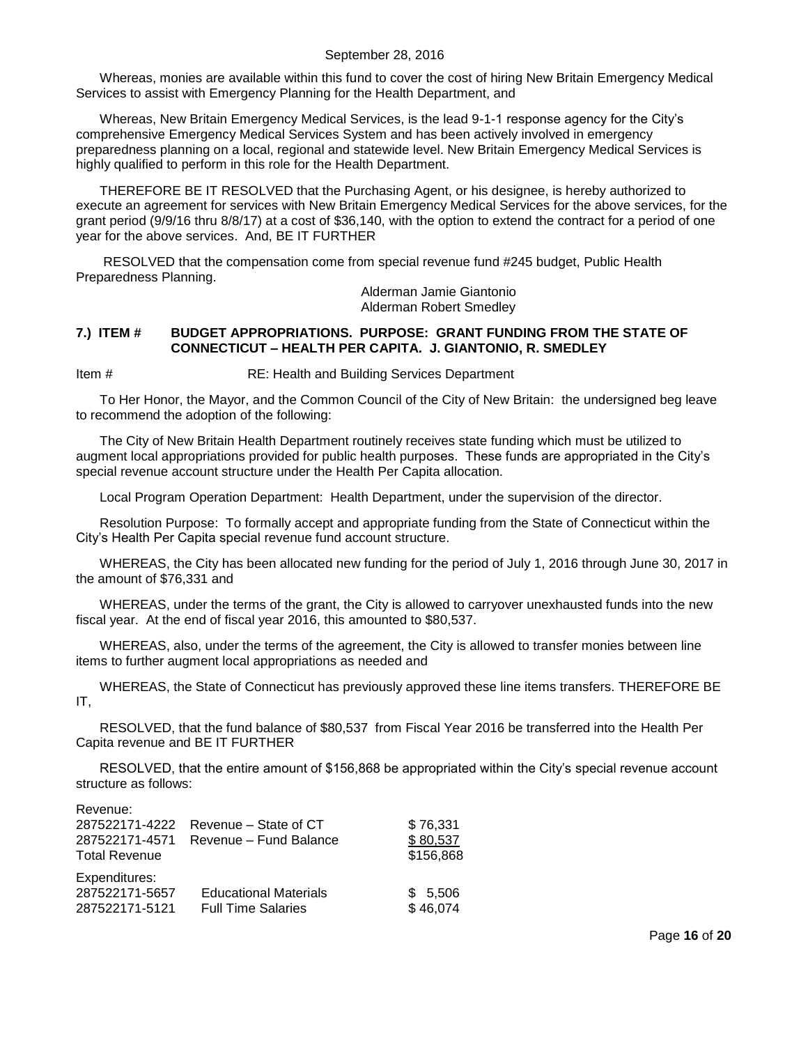Whereas, monies are available within this fund to cover the cost of hiring New Britain Emergency Medical Services to assist with Emergency Planning for the Health Department, and

Whereas, New Britain Emergency Medical Services, is the lead 9-1-1 response agency for the City's comprehensive Emergency Medical Services System and has been actively involved in emergency preparedness planning on a local, regional and statewide level. New Britain Emergency Medical Services is highly qualified to perform in this role for the Health Department.

THEREFORE BE IT RESOLVED that the Purchasing Agent, or his designee, is hereby authorized to execute an agreement for services with New Britain Emergency Medical Services for the above services, for the grant period (9/9/16 thru 8/8/17) at a cost of \$36,140, with the option to extend the contract for a period of one year for the above services. And, BE IT FURTHER

RESOLVED that the compensation come from special revenue fund #245 budget, Public Health Preparedness Planning.

Alderman Jamie Giantonio Alderman Robert Smedley

## <span id="page-15-0"></span>**7.) ITEM # BUDGET APPROPRIATIONS. PURPOSE: GRANT FUNDING FROM THE STATE OF CONNECTICUT – HEALTH PER CAPITA. J. GIANTONIO, R. SMEDLEY**

Item # RE: Health and Building Services Department

To Her Honor, the Mayor, and the Common Council of the City of New Britain: the undersigned beg leave to recommend the adoption of the following:

The City of New Britain Health Department routinely receives state funding which must be utilized to augment local appropriations provided for public health purposes. These funds are appropriated in the City's special revenue account structure under the Health Per Capita allocation.

Local Program Operation Department: Health Department, under the supervision of the director.

Resolution Purpose: To formally accept and appropriate funding from the State of Connecticut within the City's Health Per Capita special revenue fund account structure.

WHEREAS, the City has been allocated new funding for the period of July 1, 2016 through June 30, 2017 in the amount of \$76,331 and

WHEREAS, under the terms of the grant, the City is allowed to carryover unexhausted funds into the new fiscal year. At the end of fiscal year 2016, this amounted to \$80,537.

WHEREAS, also, under the terms of the agreement, the City is allowed to transfer monies between line items to further augment local appropriations as needed and

WHEREAS, the State of Connecticut has previously approved these line items transfers. THEREFORE BE IT,

RESOLVED, that the fund balance of \$80,537 from Fiscal Year 2016 be transferred into the Health Per Capita revenue and BE IT FURTHER

RESOLVED, that the entire amount of \$156,868 be appropriated within the City's special revenue account structure as follows:

Revenue: 287522171-4222 Revenue – State of CT \$ 76,331 287522171-4571 Revenue – Fund Balance \$ 80,537 Total Revenue **\$156,868** Expenditures: 287522171-5657 Educational Materials \$ 5,506 287522171-5121 Full Time Salaries \$46,074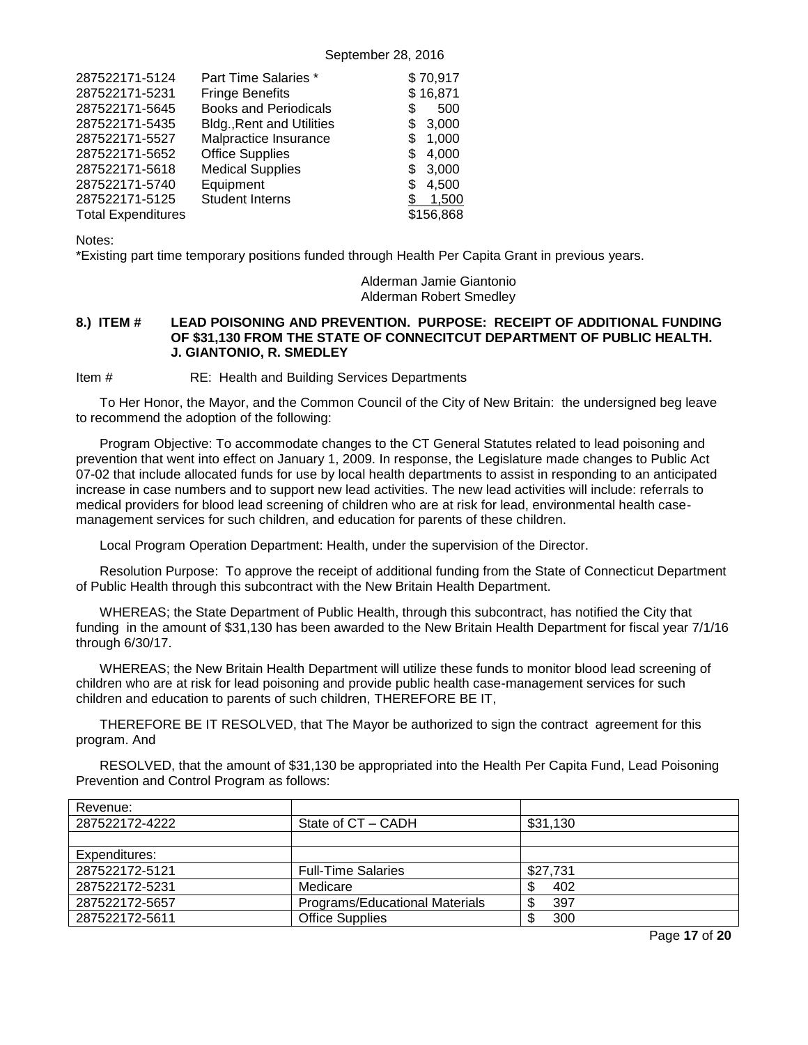| 287522171-5124            | Part Time Salaries *             | \$70,917    |
|---------------------------|----------------------------------|-------------|
| 287522171-5231            | <b>Fringe Benefits</b>           | \$16,871    |
| 287522171-5645            | <b>Books and Periodicals</b>     | 500<br>S    |
| 287522171-5435            | <b>Bldg., Rent and Utilities</b> | 3,000<br>\$ |
| 287522171-5527            | Malpractice Insurance            | 1.000<br>S  |
| 287522171-5652            | <b>Office Supplies</b>           | 4,000<br>S  |
| 287522171-5618            | <b>Medical Supplies</b>          | 3,000<br>S  |
| 287522171-5740            | Equipment                        | 4.500<br>S  |
| 287522171-5125            | <b>Student Interns</b>           | 1.500       |
| <b>Total Expenditures</b> |                                  | \$156,868   |

Notes:

\*Existing part time temporary positions funded through Health Per Capita Grant in previous years.

## Alderman Jamie Giantonio Alderman Robert Smedley

### <span id="page-16-0"></span>**8.) ITEM # LEAD POISONING AND PREVENTION. PURPOSE: RECEIPT OF ADDITIONAL FUNDING OF \$31,130 FROM THE STATE OF CONNECITCUT DEPARTMENT OF PUBLIC HEALTH. J. GIANTONIO, R. SMEDLEY**

Item # RE: Health and Building Services Departments

To Her Honor, the Mayor, and the Common Council of the City of New Britain: the undersigned beg leave to recommend the adoption of the following:

Program Objective: To accommodate changes to the CT General Statutes related to lead poisoning and prevention that went into effect on January 1, 2009. In response, the Legislature made changes to Public Act 07-02 that include allocated funds for use by local health departments to assist in responding to an anticipated increase in case numbers and to support new lead activities. The new lead activities will include: referrals to medical providers for blood lead screening of children who are at risk for lead, environmental health casemanagement services for such children, and education for parents of these children.

Local Program Operation Department: Health, under the supervision of the Director.

Resolution Purpose: To approve the receipt of additional funding from the State of Connecticut Department of Public Health through this subcontract with the New Britain Health Department.

WHEREAS; the State Department of Public Health, through this subcontract, has notified the City that funding in the amount of \$31,130 has been awarded to the New Britain Health Department for fiscal year 7/1/16 through 6/30/17.

WHEREAS; the New Britain Health Department will utilize these funds to monitor blood lead screening of children who are at risk for lead poisoning and provide public health case-management services for such children and education to parents of such children, THEREFORE BE IT,

THEREFORE BE IT RESOLVED, that The Mayor be authorized to sign the contract agreement for this program. And

RESOLVED, that the amount of \$31,130 be appropriated into the Health Per Capita Fund, Lead Poisoning Prevention and Control Program as follows:

| Revenue:       |                                |          |
|----------------|--------------------------------|----------|
| 287522172-4222 | State of CT – CADH             | \$31,130 |
|                |                                |          |
| Expenditures:  |                                |          |
| 287522172-5121 | <b>Full-Time Salaries</b>      | \$27.731 |
| 287522172-5231 | Medicare                       | 402      |
| 287522172-5657 | Programs/Educational Materials | 397      |
| 287522172-5611 | <b>Office Supplies</b>         | 300      |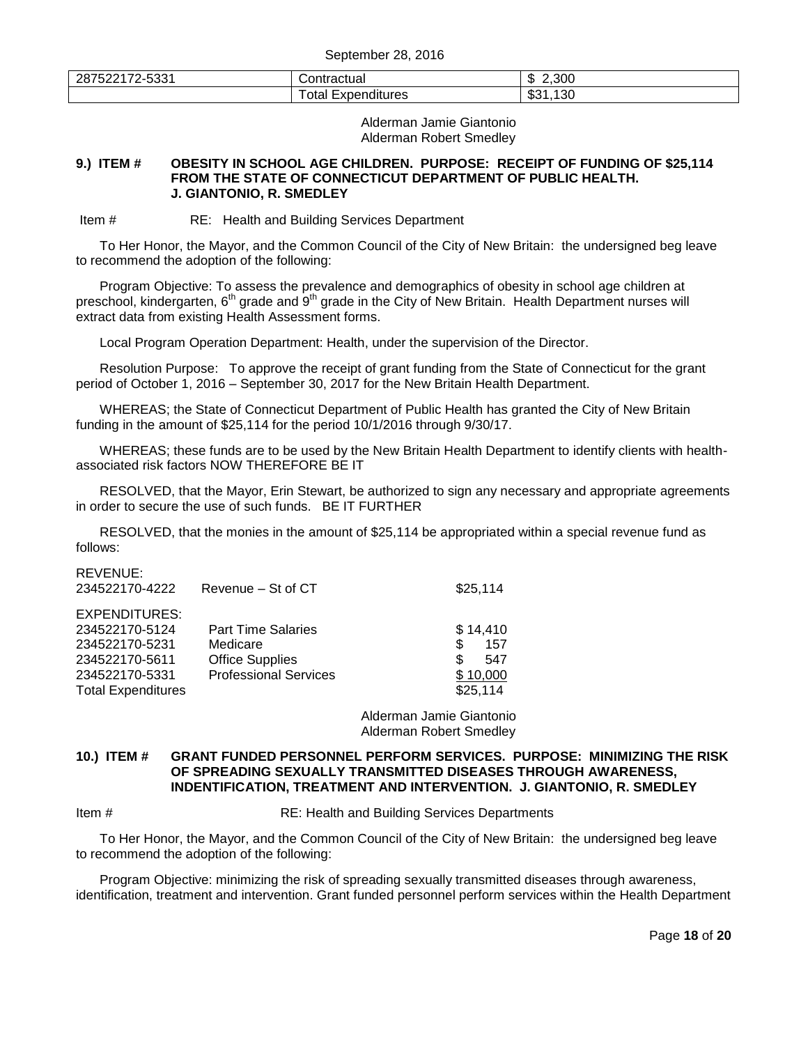| EOO!<br>287522172<br>$\sim$<br>ာ၁၁ | :ontractual<br>traciual | 2.300<br>灬<br>۰D |
|------------------------------------|-------------------------|------------------|
|                                    | otal<br>Expenditures    | 130<br>ົ<br>აა   |

Alderman Jamie Giantonio Alderman Robert Smedley

#### <span id="page-17-0"></span>**9.) ITEM # OBESITY IN SCHOOL AGE CHILDREN. PURPOSE: RECEIPT OF FUNDING OF \$25,114 FROM THE STATE OF CONNECTICUT DEPARTMENT OF PUBLIC HEALTH. J. GIANTONIO, R. SMEDLEY**

Item # RE: Health and Building Services Department

To Her Honor, the Mayor, and the Common Council of the City of New Britain: the undersigned beg leave to recommend the adoption of the following:

Program Objective: To assess the prevalence and demographics of obesity in school age children at preschool, kindergarten,  $6<sup>th</sup>$  grade and  $9<sup>th</sup>$  grade in the City of New Britain. Health Department nurses will extract data from existing Health Assessment forms.

Local Program Operation Department: Health, under the supervision of the Director.

Resolution Purpose: To approve the receipt of grant funding from the State of Connecticut for the grant period of October 1, 2016 – September 30, 2017 for the New Britain Health Department.

WHEREAS; the State of Connecticut Department of Public Health has granted the City of New Britain funding in the amount of \$25,114 for the period 10/1/2016 through 9/30/17.

WHEREAS; these funds are to be used by the New Britain Health Department to identify clients with healthassociated risk factors NOW THEREFORE BE IT

RESOLVED, that the Mayor, Erin Stewart, be authorized to sign any necessary and appropriate agreements in order to secure the use of such funds. BE IT FURTHER

RESOLVED, that the monies in the amount of \$25,114 be appropriated within a special revenue fund as follows:

| REVENUE:                  |                              |           |
|---------------------------|------------------------------|-----------|
| 234522170-4222            | Revenue - St of CT           | \$25,114  |
| EXPENDITURES:             |                              |           |
| 234522170-5124            | <b>Part Time Salaries</b>    | \$14.410  |
| 234522170-5231            | Medicare                     | \$<br>157 |
| 234522170-5611            | <b>Office Supplies</b>       | \$<br>547 |
| 234522170-5331            | <b>Professional Services</b> | \$10,000  |
| <b>Total Expenditures</b> |                              | \$25,114  |

Alderman Jamie Giantonio Alderman Robert Smedley

### <span id="page-17-1"></span>**10.) ITEM # GRANT FUNDED PERSONNEL PERFORM SERVICES. PURPOSE: MINIMIZING THE RISK OF SPREADING SEXUALLY TRANSMITTED DISEASES THROUGH AWARENESS, INDENTIFICATION, TREATMENT AND INTERVENTION. J. GIANTONIO, R. SMEDLEY**

Item # RE: Health and Building Services Departments

To Her Honor, the Mayor, and the Common Council of the City of New Britain: the undersigned beg leave to recommend the adoption of the following:

Program Objective: minimizing the risk of spreading sexually transmitted diseases through awareness, identification, treatment and intervention. Grant funded personnel perform services within the Health Department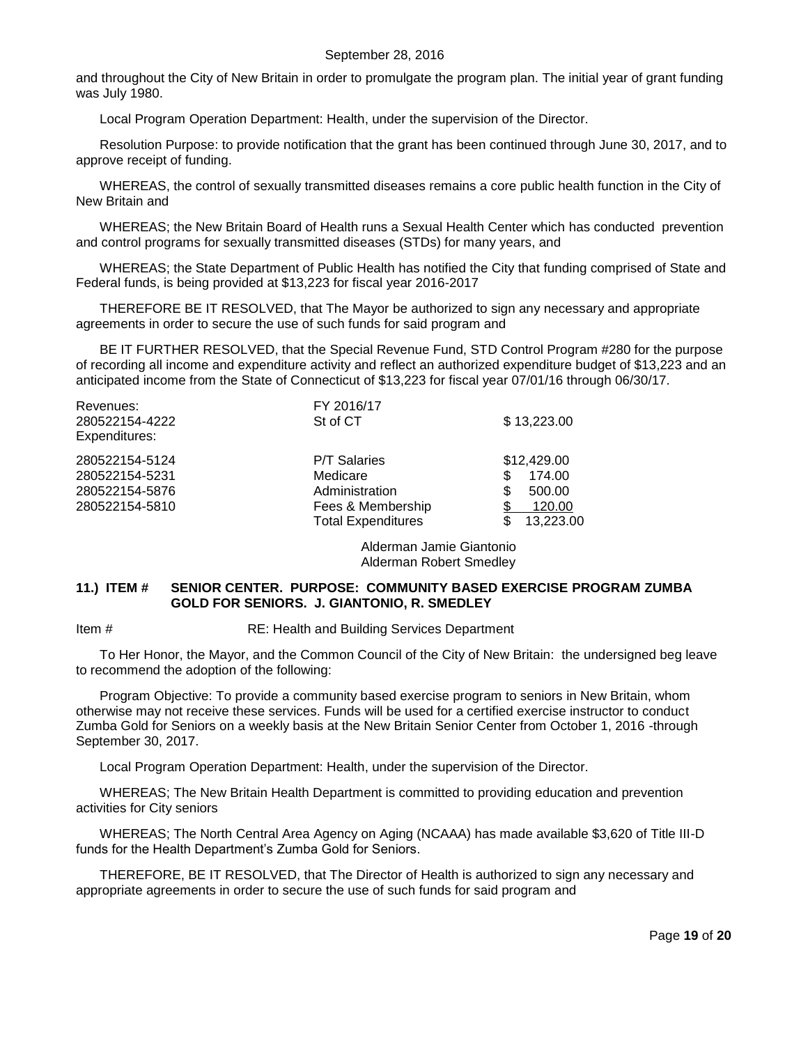and throughout the City of New Britain in order to promulgate the program plan. The initial year of grant funding was July 1980.

Local Program Operation Department: Health, under the supervision of the Director.

Resolution Purpose: to provide notification that the grant has been continued through June 30, 2017, and to approve receipt of funding.

WHEREAS, the control of sexually transmitted diseases remains a core public health function in the City of New Britain and

WHEREAS; the New Britain Board of Health runs a Sexual Health Center which has conducted prevention and control programs for sexually transmitted diseases (STDs) for many years, and

WHEREAS; the State Department of Public Health has notified the City that funding comprised of State and Federal funds, is being provided at \$13,223 for fiscal year 2016-2017

THEREFORE BE IT RESOLVED, that The Mayor be authorized to sign any necessary and appropriate agreements in order to secure the use of such funds for said program and

BE IT FURTHER RESOLVED, that the Special Revenue Fund, STD Control Program #280 for the purpose of recording all income and expenditure activity and reflect an authorized expenditure budget of \$13,223 and an anticipated income from the State of Connecticut of \$13,223 for fiscal year 07/01/16 through 06/30/17.

| Revenues:<br>280522154-4222<br>Expenditures:                         | FY 2016/17<br>St of CT                                                                              | \$13,223.00                                                                |
|----------------------------------------------------------------------|-----------------------------------------------------------------------------------------------------|----------------------------------------------------------------------------|
| 280522154-5124<br>280522154-5231<br>280522154-5876<br>280522154-5810 | <b>P/T Salaries</b><br>Medicare<br>Administration<br>Fees & Membership<br><b>Total Expenditures</b> | \$12,429.00<br>174.00<br>S<br>500.00<br>S<br>S<br>120.00<br>13,223.00<br>S |

Alderman Jamie Giantonio Alderman Robert Smedley

#### <span id="page-18-0"></span>**11.) ITEM # SENIOR CENTER. PURPOSE: COMMUNITY BASED EXERCISE PROGRAM ZUMBA GOLD FOR SENIORS. J. GIANTONIO, R. SMEDLEY**

Item # RE: Health and Building Services Department

To Her Honor, the Mayor, and the Common Council of the City of New Britain: the undersigned beg leave to recommend the adoption of the following:

Program Objective: To provide a community based exercise program to seniors in New Britain, whom otherwise may not receive these services. Funds will be used for a certified exercise instructor to conduct Zumba Gold for Seniors on a weekly basis at the New Britain Senior Center from October 1, 2016 -through September 30, 2017.

Local Program Operation Department: Health, under the supervision of the Director.

WHEREAS; The New Britain Health Department is committed to providing education and prevention activities for City seniors

WHEREAS; The North Central Area Agency on Aging (NCAAA) has made available \$3,620 of Title III-D funds for the Health Department's Zumba Gold for Seniors.

THEREFORE, BE IT RESOLVED, that The Director of Health is authorized to sign any necessary and appropriate agreements in order to secure the use of such funds for said program and